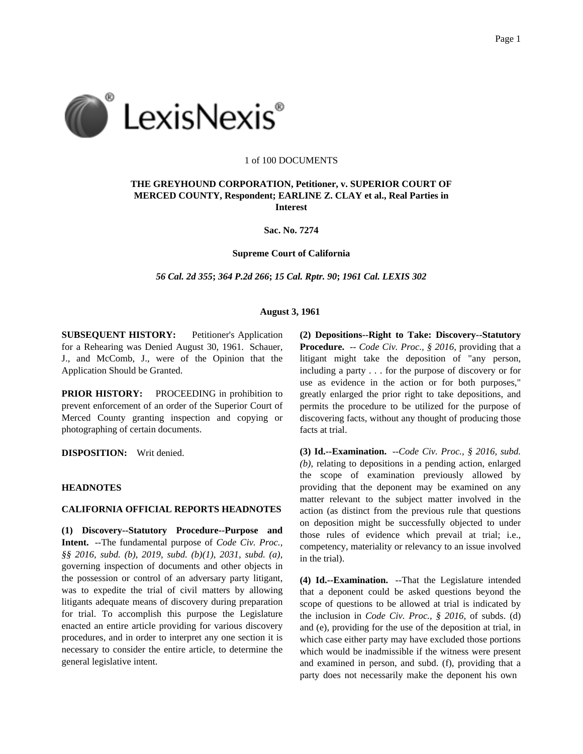

#### 1 of 100 DOCUMENTS

# **THE GREYHOUND CORPORATION, Petitioner, v. SUPERIOR COURT OF MERCED COUNTY, Respondent; EARLINE Z. CLAY et al., Real Parties in Interest**

**Sac. No. 7274**

**Supreme Court of California**

*56 Cal. 2d 355***;** *364 P.2d 266***;** *15 Cal. Rptr. 90***;** *1961 Cal. LEXIS 302*

### **August 3, 1961**

**SUBSEQUENT HISTORY:** Petitioner's Application for a Rehearing was Denied August 30, 1961. Schauer, J., and McComb, J., were of the Opinion that the Application Should be Granted.

**PRIOR HISTORY:** PROCEEDING in prohibition to prevent enforcement of an order of the Superior Court of Merced County granting inspection and copying or photographing of certain documents.

**DISPOSITION:** Writ denied.

### **HEADNOTES**

### **CALIFORNIA OFFICIAL REPORTS HEADNOTES**

**(1) Discovery--Statutory Procedure--Purpose and Intent.** --The fundamental purpose of *Code Civ. Proc., §§ 2016, subd. (b)*, *2019, subd. (b)(1)*, *2031, subd. (a)*, governing inspection of documents and other objects in the possession or control of an adversary party litigant, was to expedite the trial of civil matters by allowing litigants adequate means of discovery during preparation for trial. To accomplish this purpose the Legislature enacted an entire article providing for various discovery procedures, and in order to interpret any one section it is necessary to consider the entire article, to determine the general legislative intent.

**(2) Depositions--Right to Take: Discovery--Statutory Procedure.** -- *Code Civ. Proc., § 2016*, providing that a litigant might take the deposition of "any person, including a party . . . for the purpose of discovery or for use as evidence in the action or for both purposes," greatly enlarged the prior right to take depositions, and permits the procedure to be utilized for the purpose of discovering facts, without any thought of producing those facts at trial.

**(3) Id.--Examination.** --*Code Civ. Proc., § 2016, subd. (b)*, relating to depositions in a pending action, enlarged the scope of examination previously allowed by providing that the deponent may be examined on any matter relevant to the subject matter involved in the action (as distinct from the previous rule that questions on deposition might be successfully objected to under those rules of evidence which prevail at trial; i.e., competency, materiality or relevancy to an issue involved in the trial).

**(4) Id.--Examination.** --That the Legislature intended that a deponent could be asked questions beyond the scope of questions to be allowed at trial is indicated by the inclusion in *Code Civ. Proc., § 2016*, of subds. (d) and (e), providing for the use of the deposition at trial, in which case either party may have excluded those portions which would be inadmissible if the witness were present and examined in person, and subd. (f), providing that a party does not necessarily make the deponent his own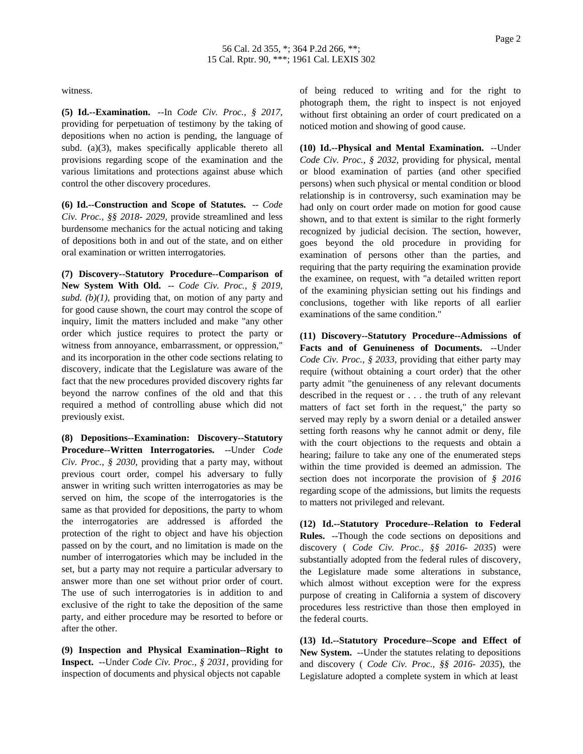witness.

**(5) Id.--Examination.** --In *Code Civ. Proc., § 2017*, providing for perpetuation of testimony by the taking of depositions when no action is pending, the language of subd. (a)(3), makes specifically applicable thereto all provisions regarding scope of the examination and the various limitations and protections against abuse which control the other discovery procedures.

**(6) Id.--Construction and Scope of Statutes.** -- *Code Civ. Proc., §§ 2018- 2029*, provide streamlined and less burdensome mechanics for the actual noticing and taking of depositions both in and out of the state, and on either oral examination or written interrogatories.

**(7) Discovery--Statutory Procedure--Comparison of New System With Old.** -- *Code Civ. Proc., § 2019, subd. (b)(1)*, providing that, on motion of any party and for good cause shown, the court may control the scope of inquiry, limit the matters included and make "any other order which justice requires to protect the party or witness from annoyance, embarrassment, or oppression," and its incorporation in the other code sections relating to discovery, indicate that the Legislature was aware of the fact that the new procedures provided discovery rights far beyond the narrow confines of the old and that this required a method of controlling abuse which did not previously exist.

**(8) Depositions--Examination: Discovery--Statutory Procedure--Written Interrogatories.** --Under *Code Civ. Proc., § 2030*, providing that a party may, without previous court order, compel his adversary to fully answer in writing such written interrogatories as may be served on him, the scope of the interrogatories is the same as that provided for depositions, the party to whom the interrogatories are addressed is afforded the protection of the right to object and have his objection passed on by the court, and no limitation is made on the number of interrogatories which may be included in the set, but a party may not require a particular adversary to answer more than one set without prior order of court. The use of such interrogatories is in addition to and exclusive of the right to take the deposition of the same party, and either procedure may be resorted to before or after the other.

**(9) Inspection and Physical Examination--Right to Inspect.** --Under *Code Civ. Proc., § 2031*, providing for inspection of documents and physical objects not capable

of being reduced to writing and for the right to photograph them, the right to inspect is not enjoyed without first obtaining an order of court predicated on a noticed motion and showing of good cause.

**(10) Id.--Physical and Mental Examination.** --Under *Code Civ. Proc., § 2032*, providing for physical, mental or blood examination of parties (and other specified persons) when such physical or mental condition or blood relationship is in controversy, such examination may be had only on court order made on motion for good cause shown, and to that extent is similar to the right formerly recognized by judicial decision. The section, however, goes beyond the old procedure in providing for examination of persons other than the parties, and requiring that the party requiring the examination provide the examinee, on request, with "a detailed written report of the examining physician setting out his findings and conclusions, together with like reports of all earlier examinations of the same condition."

**(11) Discovery--Statutory Procedure--Admissions of Facts and of Genuineness of Documents.** --Under *Code Civ. Proc., § 2033*, providing that either party may require (without obtaining a court order) that the other party admit "the genuineness of any relevant documents described in the request or . . . the truth of any relevant matters of fact set forth in the request," the party so served may reply by a sworn denial or a detailed answer setting forth reasons why he cannot admit or deny, file with the court objections to the requests and obtain a hearing; failure to take any one of the enumerated steps within the time provided is deemed an admission. The section does not incorporate the provision of *§ 2016* regarding scope of the admissions, but limits the requests to matters not privileged and relevant.

**(12) Id.--Statutory Procedure--Relation to Federal Rules.** --Though the code sections on depositions and discovery ( *Code Civ. Proc., §§ 2016- 2035*) were substantially adopted from the federal rules of discovery, the Legislature made some alterations in substance, which almost without exception were for the express purpose of creating in California a system of discovery procedures less restrictive than those then employed in the federal courts.

**(13) Id.--Statutory Procedure--Scope and Effect of New System.** --Under the statutes relating to depositions and discovery ( *Code Civ. Proc., §§ 2016- 2035*), the Legislature adopted a complete system in which at least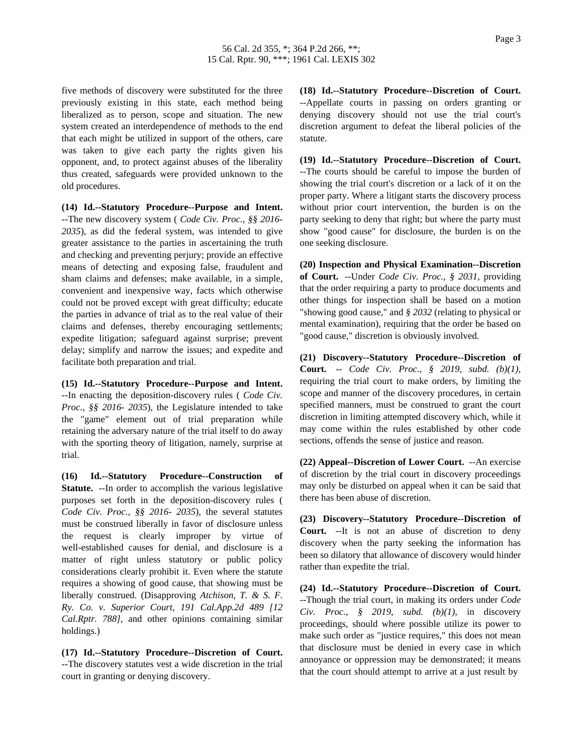five methods of discovery were substituted for the three previously existing in this state, each method being liberalized as to person, scope and situation. The new system created an interdependence of methods to the end that each might be utilized in support of the others, care was taken to give each party the rights given his opponent, and, to protect against abuses of the liberality thus created, safeguards were provided unknown to the old procedures.

**(14) Id.--Statutory Procedure--Purpose and Intent.** --The new discovery system ( *Code Civ. Proc., §§ 2016- 2035*), as did the federal system, was intended to give greater assistance to the parties in ascertaining the truth and checking and preventing perjury; provide an effective means of detecting and exposing false, fraudulent and sham claims and defenses; make available, in a simple, convenient and inexpensive way, facts which otherwise could not be proved except with great difficulty; educate the parties in advance of trial as to the real value of their claims and defenses, thereby encouraging settlements; expedite litigation; safeguard against surprise; prevent delay; simplify and narrow the issues; and expedite and facilitate both preparation and trial.

**(15) Id.--Statutory Procedure--Purpose and Intent.** --In enacting the deposition-discovery rules ( *Code Civ. Proc., §§ 2016- 2035*), the Legislature intended to take the "game" element out of trial preparation while retaining the adversary nature of the trial itself to do away with the sporting theory of litigation, namely, surprise at trial.

**(16) Id.--Statutory Procedure--Construction of Statute.** --In order to accomplish the various legislative purposes set forth in the deposition-discovery rules ( *Code Civ. Proc., §§ 2016- 2035*), the several statutes must be construed liberally in favor of disclosure unless the request is clearly improper by virtue of well-established causes for denial, and disclosure is a matter of right unless statutory or public policy considerations clearly prohibit it. Even where the statute requires a showing of good cause, that showing must be liberally construed. (Disapproving *Atchison, T. & S. F. Ry. Co. v. Superior Court, 191 Cal.App.2d 489 [12 Cal.Rptr. 788]*, and other opinions containing similar holdings.)

**(17) Id.--Statutory Procedure--Discretion of Court.** --The discovery statutes vest a wide discretion in the trial court in granting or denying discovery.

**(18) Id.--Statutory Procedure--Discretion of Court.** --Appellate courts in passing on orders granting or denying discovery should not use the trial court's discretion argument to defeat the liberal policies of the statute.

**(19) Id.--Statutory Procedure--Discretion of Court.** --The courts should be careful to impose the burden of showing the trial court's discretion or a lack of it on the proper party. Where a litigant starts the discovery process without prior court intervention, the burden is on the party seeking to deny that right; but where the party must show "good cause" for disclosure, the burden is on the one seeking disclosure.

**(20) Inspection and Physical Examination--Discretion of Court.** --Under *Code Civ. Proc., § 2031*, providing that the order requiring a party to produce documents and other things for inspection shall be based on a motion "showing good cause," and *§ 2032* (relating to physical or mental examination), requiring that the order be based on "good cause," discretion is obviously involved.

**(21) Discovery--Statutory Procedure--Discretion of Court.** -- *Code Civ. Proc., § 2019, subd. (b)(1)*, requiring the trial court to make orders, by limiting the scope and manner of the discovery procedures, in certain specified manners, must be construed to grant the court discretion in limiting attempted discovery which, while it may come within the rules established by other code sections, offends the sense of justice and reason.

**(22) Appeal--Discretion of Lower Court.** --An exercise of discretion by the trial court in discovery proceedings may only be disturbed on appeal when it can be said that there has been abuse of discretion.

**(23) Discovery--Statutory Procedure--Discretion of Court.** --It is not an abuse of discretion to deny discovery when the party seeking the information has been so dilatory that allowance of discovery would hinder rather than expedite the trial.

**(24) Id.--Statutory Procedure--Discretion of Court.** --Though the trial court, in making its orders under *Code Civ. Proc., § 2019, subd. (b)(1)*, in discovery proceedings, should where possible utilize its power to make such order as "justice requires," this does not mean that disclosure must be denied in every case in which annoyance or oppression may be demonstrated; it means that the court should attempt to arrive at a just result by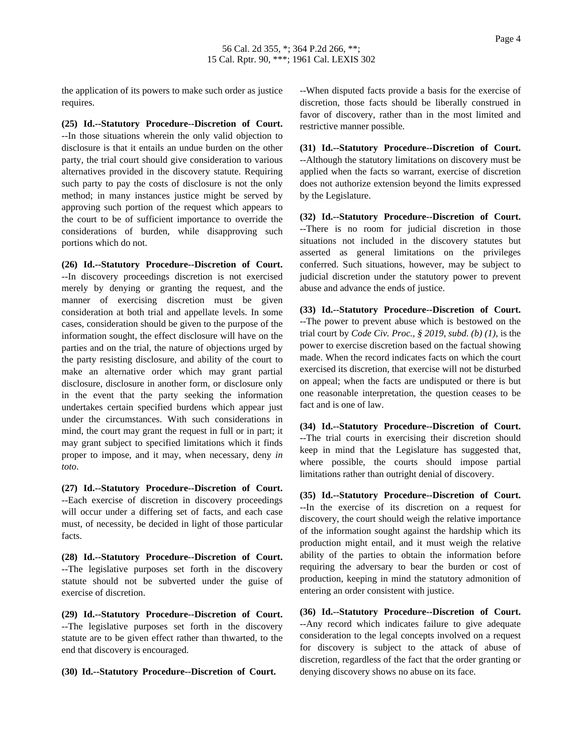the application of its powers to make such order as justice requires.

**(25) Id.--Statutory Procedure--Discretion of Court.** --In those situations wherein the only valid objection to disclosure is that it entails an undue burden on the other party, the trial court should give consideration to various alternatives provided in the discovery statute. Requiring such party to pay the costs of disclosure is not the only method; in many instances justice might be served by approving such portion of the request which appears to the court to be of sufficient importance to override the considerations of burden, while disapproving such portions which do not.

**(26) Id.--Statutory Procedure--Discretion of Court.** --In discovery proceedings discretion is not exercised merely by denying or granting the request, and the manner of exercising discretion must be given consideration at both trial and appellate levels. In some cases, consideration should be given to the purpose of the information sought, the effect disclosure will have on the parties and on the trial, the nature of objections urged by the party resisting disclosure, and ability of the court to make an alternative order which may grant partial disclosure, disclosure in another form, or disclosure only in the event that the party seeking the information undertakes certain specified burdens which appear just under the circumstances. With such considerations in mind, the court may grant the request in full or in part; it may grant subject to specified limitations which it finds proper to impose, and it may, when necessary, deny *in toto*.

**(27) Id.--Statutory Procedure--Discretion of Court.** --Each exercise of discretion in discovery proceedings will occur under a differing set of facts, and each case must, of necessity, be decided in light of those particular facts.

**(28) Id.--Statutory Procedure--Discretion of Court.** --The legislative purposes set forth in the discovery statute should not be subverted under the guise of exercise of discretion.

**(29) Id.--Statutory Procedure--Discretion of Court.** --The legislative purposes set forth in the discovery statute are to be given effect rather than thwarted, to the end that discovery is encouraged.

**(30) Id.--Statutory Procedure--Discretion of Court.**

--When disputed facts provide a basis for the exercise of discretion, those facts should be liberally construed in favor of discovery, rather than in the most limited and restrictive manner possible.

**(31) Id.--Statutory Procedure--Discretion of Court.** --Although the statutory limitations on discovery must be applied when the facts so warrant, exercise of discretion does not authorize extension beyond the limits expressed by the Legislature.

**(32) Id.--Statutory Procedure--Discretion of Court.** --There is no room for judicial discretion in those situations not included in the discovery statutes but asserted as general limitations on the privileges conferred. Such situations, however, may be subject to judicial discretion under the statutory power to prevent abuse and advance the ends of justice.

**(33) Id.--Statutory Procedure--Discretion of Court.** --The power to prevent abuse which is bestowed on the trial court by *Code Civ. Proc., § 2019, subd. (b) (1)*, is the power to exercise discretion based on the factual showing made. When the record indicates facts on which the court exercised its discretion, that exercise will not be disturbed on appeal; when the facts are undisputed or there is but one reasonable interpretation, the question ceases to be fact and is one of law.

**(34) Id.--Statutory Procedure--Discretion of Court.** --The trial courts in exercising their discretion should keep in mind that the Legislature has suggested that, where possible, the courts should impose partial limitations rather than outright denial of discovery.

**(35) Id.--Statutory Procedure--Discretion of Court.** --In the exercise of its discretion on a request for discovery, the court should weigh the relative importance of the information sought against the hardship which its production might entail, and it must weigh the relative ability of the parties to obtain the information before requiring the adversary to bear the burden or cost of production, keeping in mind the statutory admonition of entering an order consistent with justice.

**(36) Id.--Statutory Procedure--Discretion of Court.** --Any record which indicates failure to give adequate consideration to the legal concepts involved on a request for discovery is subject to the attack of abuse of discretion, regardless of the fact that the order granting or denying discovery shows no abuse on its face.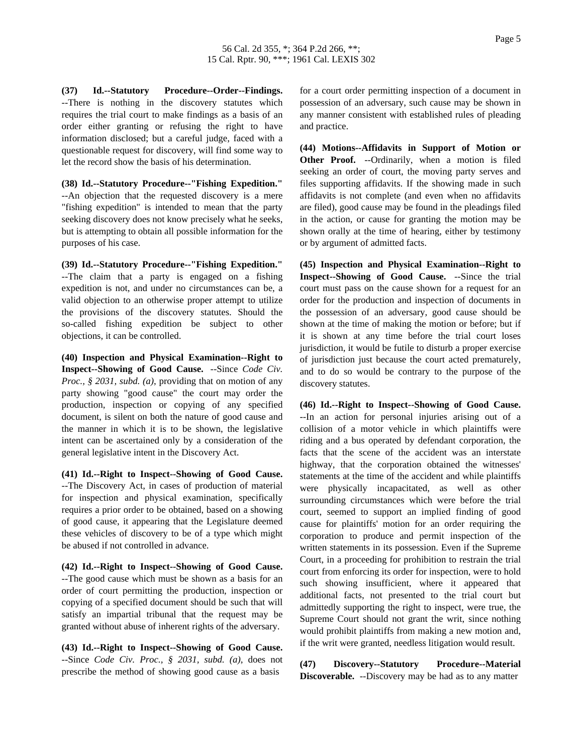**(37) Id.--Statutory Procedure--Order--Findings.** --There is nothing in the discovery statutes which requires the trial court to make findings as a basis of an order either granting or refusing the right to have information disclosed; but a careful judge, faced with a questionable request for discovery, will find some way to let the record show the basis of his determination.

**(38) Id.--Statutory Procedure--"Fishing Expedition."** --An objection that the requested discovery is a mere "fishing expedition" is intended to mean that the party seeking discovery does not know precisely what he seeks, but is attempting to obtain all possible information for the purposes of his case.

**(39) Id.--Statutory Procedure--"Fishing Expedition."** --The claim that a party is engaged on a fishing expedition is not, and under no circumstances can be, a valid objection to an otherwise proper attempt to utilize the provisions of the discovery statutes. Should the so-called fishing expedition be subject to other objections, it can be controlled.

**(40) Inspection and Physical Examination--Right to Inspect--Showing of Good Cause.** --Since *Code Civ. Proc., § 2031, subd. (a)*, providing that on motion of any party showing "good cause" the court may order the production, inspection or copying of any specified document, is silent on both the nature of good cause and the manner in which it is to be shown, the legislative intent can be ascertained only by a consideration of the general legislative intent in the Discovery Act.

**(41) Id.--Right to Inspect--Showing of Good Cause.** --The Discovery Act, in cases of production of material for inspection and physical examination, specifically requires a prior order to be obtained, based on a showing of good cause, it appearing that the Legislature deemed these vehicles of discovery to be of a type which might be abused if not controlled in advance.

**(42) Id.--Right to Inspect--Showing of Good Cause.** --The good cause which must be shown as a basis for an order of court permitting the production, inspection or copying of a specified document should be such that will satisfy an impartial tribunal that the request may be granted without abuse of inherent rights of the adversary.

**(43) Id.--Right to Inspect--Showing of Good Cause.** --Since *Code Civ. Proc., § 2031, subd. (a)*, does not prescribe the method of showing good cause as a basis

for a court order permitting inspection of a document in possession of an adversary, such cause may be shown in any manner consistent with established rules of pleading and practice.

**(44) Motions--Affidavits in Support of Motion or Other Proof.** --Ordinarily, when a motion is filed seeking an order of court, the moving party serves and files supporting affidavits. If the showing made in such affidavits is not complete (and even when no affidavits are filed), good cause may be found in the pleadings filed in the action, or cause for granting the motion may be shown orally at the time of hearing, either by testimony or by argument of admitted facts.

**(45) Inspection and Physical Examination--Right to Inspect--Showing of Good Cause.** --Since the trial court must pass on the cause shown for a request for an order for the production and inspection of documents in the possession of an adversary, good cause should be shown at the time of making the motion or before; but if it is shown at any time before the trial court loses jurisdiction, it would be futile to disturb a proper exercise of jurisdiction just because the court acted prematurely, and to do so would be contrary to the purpose of the discovery statutes.

**(46) Id.--Right to Inspect--Showing of Good Cause.** --In an action for personal injuries arising out of a collision of a motor vehicle in which plaintiffs were riding and a bus operated by defendant corporation, the facts that the scene of the accident was an interstate highway, that the corporation obtained the witnesses' statements at the time of the accident and while plaintiffs were physically incapacitated, as well as other surrounding circumstances which were before the trial court, seemed to support an implied finding of good cause for plaintiffs' motion for an order requiring the corporation to produce and permit inspection of the written statements in its possession. Even if the Supreme Court, in a proceeding for prohibition to restrain the trial court from enforcing its order for inspection, were to hold such showing insufficient, where it appeared that additional facts, not presented to the trial court but admittedly supporting the right to inspect, were true, the Supreme Court should not grant the writ, since nothing would prohibit plaintiffs from making a new motion and, if the writ were granted, needless litigation would result.

**(47) Discovery--Statutory Procedure--Material Discoverable.** --Discovery may be had as to any matter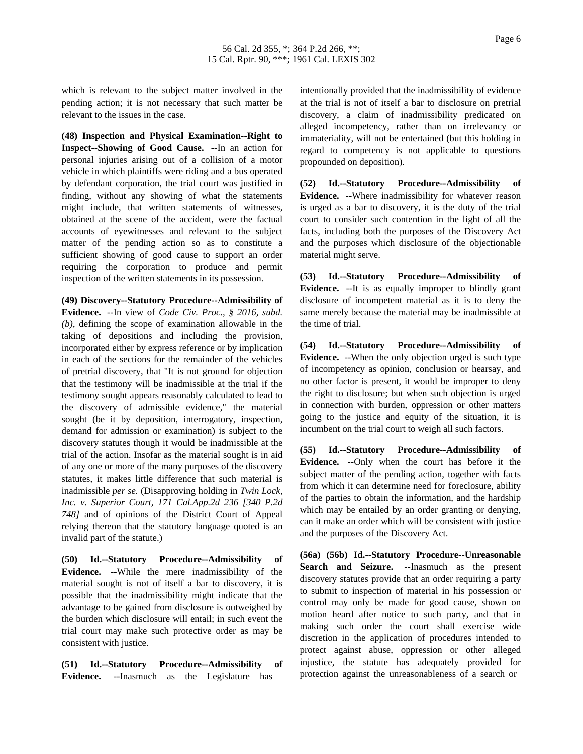which is relevant to the subject matter involved in the pending action; it is not necessary that such matter be relevant to the issues in the case.

**(48) Inspection and Physical Examination--Right to Inspect--Showing of Good Cause.** --In an action for personal injuries arising out of a collision of a motor vehicle in which plaintiffs were riding and a bus operated by defendant corporation, the trial court was justified in finding, without any showing of what the statements might include, that written statements of witnesses, obtained at the scene of the accident, were the factual accounts of eyewitnesses and relevant to the subject matter of the pending action so as to constitute a sufficient showing of good cause to support an order requiring the corporation to produce and permit inspection of the written statements in its possession.

**(49) Discovery--Statutory Procedure--Admissibility of Evidence.** --In view of *Code Civ. Proc., § 2016, subd. (b)*, defining the scope of examination allowable in the taking of depositions and including the provision, incorporated either by express reference or by implication in each of the sections for the remainder of the vehicles of pretrial discovery, that "It is not ground for objection that the testimony will be inadmissible at the trial if the testimony sought appears reasonably calculated to lead to the discovery of admissible evidence," the material sought (be it by deposition, interrogatory, inspection, demand for admission or examination) is subject to the discovery statutes though it would be inadmissible at the trial of the action. Insofar as the material sought is in aid of any one or more of the many purposes of the discovery statutes, it makes little difference that such material is inadmissible *per se.* (Disapproving holding in *Twin Lock, Inc. v. Superior Court, 171 Cal.App.2d 236 [340 P.2d 748]* and of opinions of the District Court of Appeal relying thereon that the statutory language quoted is an invalid part of the statute.)

**(50) Id.--Statutory Procedure--Admissibility of Evidence.** --While the mere inadmissibility of the material sought is not of itself a bar to discovery, it is possible that the inadmissibility might indicate that the advantage to be gained from disclosure is outweighed by the burden which disclosure will entail; in such event the trial court may make such protective order as may be consistent with justice.

**(51) Id.--Statutory Procedure--Admissibility of Evidence.** --Inasmuch as the Legislature has

intentionally provided that the inadmissibility of evidence at the trial is not of itself a bar to disclosure on pretrial discovery, a claim of inadmissibility predicated on alleged incompetency, rather than on irrelevancy or immateriality, will not be entertained (but this holding in regard to competency is not applicable to questions propounded on deposition).

**(52) Id.--Statutory Procedure--Admissibility of Evidence.** --Where inadmissibility for whatever reason is urged as a bar to discovery, it is the duty of the trial court to consider such contention in the light of all the facts, including both the purposes of the Discovery Act and the purposes which disclosure of the objectionable material might serve.

**(53) Id.--Statutory Procedure--Admissibility of Evidence.** --It is as equally improper to blindly grant disclosure of incompetent material as it is to deny the same merely because the material may be inadmissible at the time of trial.

**(54) Id.--Statutory Procedure--Admissibility of Evidence.** --When the only objection urged is such type of incompetency as opinion, conclusion or hearsay, and no other factor is present, it would be improper to deny the right to disclosure; but when such objection is urged in connection with burden, oppression or other matters going to the justice and equity of the situation, it is incumbent on the trial court to weigh all such factors.

**(55) Id.--Statutory Procedure--Admissibility of Evidence.** --Only when the court has before it the subject matter of the pending action, together with facts from which it can determine need for foreclosure, ability of the parties to obtain the information, and the hardship which may be entailed by an order granting or denying, can it make an order which will be consistent with justice and the purposes of the Discovery Act.

**(56a) (56b) Id.--Statutory Procedure--Unreasonable Search and Seizure.** --Inasmuch as the present discovery statutes provide that an order requiring a party to submit to inspection of material in his possession or control may only be made for good cause, shown on motion heard after notice to such party, and that in making such order the court shall exercise wide discretion in the application of procedures intended to protect against abuse, oppression or other alleged injustice, the statute has adequately provided for protection against the unreasonableness of a search or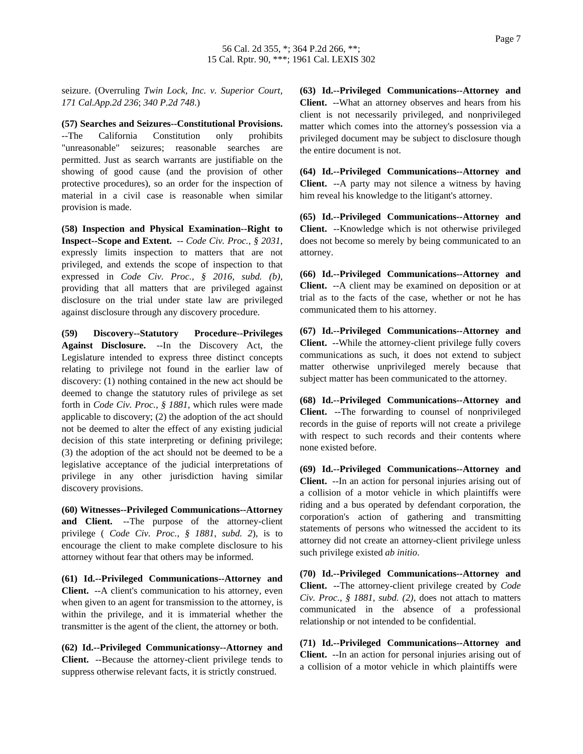seizure. (Overruling *Twin Lock, Inc. v. Superior Court, 171 Cal.App.2d 236*; *340 P.2d 748*.)

**(57) Searches and Seizures--Constitutional Provisions.** --The California Constitution only prohibits "unreasonable" seizures; reasonable searches are permitted. Just as search warrants are justifiable on the showing of good cause (and the provision of other protective procedures), so an order for the inspection of material in a civil case is reasonable when similar provision is made.

**(58) Inspection and Physical Examination--Right to Inspect--Scope and Extent.** -- *Code Civ. Proc., § 2031*, expressly limits inspection to matters that are not privileged, and extends the scope of inspection to that expressed in *Code Civ. Proc., § 2016, subd. (b)*, providing that all matters that are privileged against disclosure on the trial under state law are privileged against disclosure through any discovery procedure.

**(59) Discovery--Statutory Procedure--Privileges Against Disclosure.** --In the Discovery Act, the Legislature intended to express three distinct concepts relating to privilege not found in the earlier law of discovery: (1) nothing contained in the new act should be deemed to change the statutory rules of privilege as set forth in *Code Civ. Proc., § 1881*, which rules were made applicable to discovery; (2) the adoption of the act should not be deemed to alter the effect of any existing judicial decision of this state interpreting or defining privilege; (3) the adoption of the act should not be deemed to be a legislative acceptance of the judicial interpretations of privilege in any other jurisdiction having similar discovery provisions.

**(60) Witnesses--Privileged Communications--Attorney and Client.** --The purpose of the attorney-client privilege ( *Code Civ. Proc., § 1881*, *subd. 2*), is to encourage the client to make complete disclosure to his attorney without fear that others may be informed.

**(61) Id.--Privileged Communications--Attorney and Client.** --A client's communication to his attorney, even when given to an agent for transmission to the attorney, is within the privilege, and it is immaterial whether the transmitter is the agent of the client, the attorney or both.

**(62) Id.--Privileged Communicationsy--Attorney and Client.** --Because the attorney-client privilege tends to suppress otherwise relevant facts, it is strictly construed.

**(63) Id.--Privileged Communications--Attorney and Client.** --What an attorney observes and hears from his client is not necessarily privileged, and nonprivileged matter which comes into the attorney's possession via a privileged document may be subject to disclosure though the entire document is not.

**(64) Id.--Privileged Communications--Attorney and Client.** --A party may not silence a witness by having him reveal his knowledge to the litigant's attorney.

**(65) Id.--Privileged Communications--Attorney and Client.** --Knowledge which is not otherwise privileged does not become so merely by being communicated to an attorney.

**(66) Id.--Privileged Communications--Attorney and Client.** --A client may be examined on deposition or at trial as to the facts of the case, whether or not he has communicated them to his attorney.

**(67) Id.--Privileged Communications--Attorney and Client.** --While the attorney-client privilege fully covers communications as such, it does not extend to subject matter otherwise unprivileged merely because that subject matter has been communicated to the attorney.

**(68) Id.--Privileged Communications--Attorney and Client.** --The forwarding to counsel of nonprivileged records in the guise of reports will not create a privilege with respect to such records and their contents where none existed before.

**(69) Id.--Privileged Communications--Attorney and Client.** --In an action for personal injuries arising out of a collision of a motor vehicle in which plaintiffs were riding and a bus operated by defendant corporation, the corporation's action of gathering and transmitting statements of persons who witnessed the accident to its attorney did not create an attorney-client privilege unless such privilege existed *ab initio*.

**(70) Id.--Privileged Communications--Attorney and Client.** --The attorney-client privilege created by *Code Civ. Proc., § 1881, subd. (2)*, does not attach to matters communicated in the absence of a professional relationship or not intended to be confidential.

**(71) Id.--Privileged Communications--Attorney and Client.** --In an action for personal injuries arising out of a collision of a motor vehicle in which plaintiffs were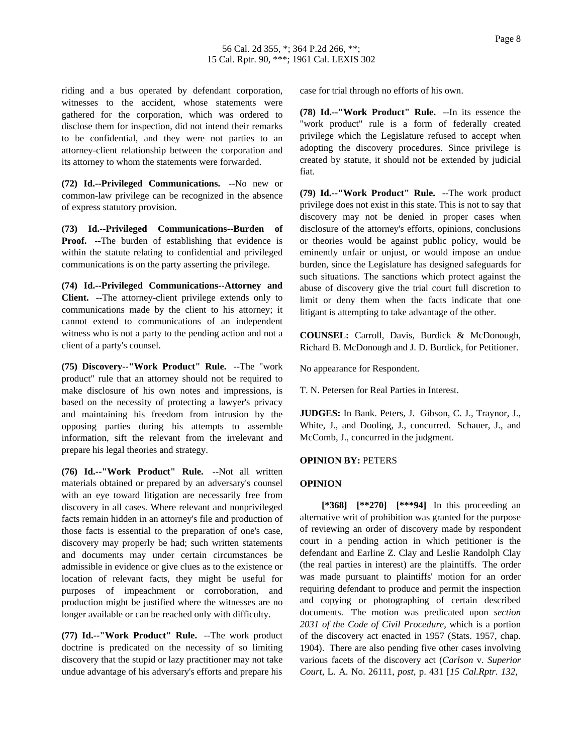riding and a bus operated by defendant corporation, witnesses to the accident, whose statements were gathered for the corporation, which was ordered to disclose them for inspection, did not intend their remarks to be confidential, and they were not parties to an attorney-client relationship between the corporation and its attorney to whom the statements were forwarded.

**(72) Id.--Privileged Communications.** --No new or common-law privilege can be recognized in the absence of express statutory provision.

**(73) Id.--Privileged Communications--Burden of Proof.** --The burden of establishing that evidence is within the statute relating to confidential and privileged communications is on the party asserting the privilege.

**(74) Id.--Privileged Communications--Attorney and Client.** --The attorney-client privilege extends only to communications made by the client to his attorney; it cannot extend to communications of an independent witness who is not a party to the pending action and not a client of a party's counsel.

**(75) Discovery--"Work Product" Rule.** --The "work product" rule that an attorney should not be required to make disclosure of his own notes and impressions, is based on the necessity of protecting a lawyer's privacy and maintaining his freedom from intrusion by the opposing parties during his attempts to assemble information, sift the relevant from the irrelevant and prepare his legal theories and strategy.

**(76) Id.--"Work Product" Rule.** --Not all written materials obtained or prepared by an adversary's counsel with an eye toward litigation are necessarily free from discovery in all cases. Where relevant and nonprivileged facts remain hidden in an attorney's file and production of those facts is essential to the preparation of one's case, discovery may properly be had; such written statements and documents may under certain circumstances be admissible in evidence or give clues as to the existence or location of relevant facts, they might be useful for purposes of impeachment or corroboration, and production might be justified where the witnesses are no longer available or can be reached only with difficulty.

**(77) Id.--"Work Product" Rule.** --The work product doctrine is predicated on the necessity of so limiting discovery that the stupid or lazy practitioner may not take undue advantage of his adversary's efforts and prepare his

case for trial through no efforts of his own.

**(78) Id.--"Work Product" Rule.** --In its essence the "work product" rule is a form of federally created privilege which the Legislature refused to accept when adopting the discovery procedures. Since privilege is created by statute, it should not be extended by judicial fiat.

**(79) Id.--"Work Product" Rule.** --The work product privilege does not exist in this state. This is not to say that discovery may not be denied in proper cases when disclosure of the attorney's efforts, opinions, conclusions or theories would be against public policy, would be eminently unfair or unjust, or would impose an undue burden, since the Legislature has designed safeguards for such situations. The sanctions which protect against the abuse of discovery give the trial court full discretion to limit or deny them when the facts indicate that one litigant is attempting to take advantage of the other.

**COUNSEL:** Carroll, Davis, Burdick & McDonough, Richard B. McDonough and J. D. Burdick, for Petitioner.

No appearance for Respondent.

T. N. Petersen for Real Parties in Interest.

**JUDGES:** In Bank. Peters, J. Gibson, C. J., Traynor, J., White, J., and Dooling, J., concurred. Schauer, J., and McComb, J., concurred in the judgment.

#### **OPINION BY:** PETERS

## **OPINION**

**[\*368] [\*\*270] [\*\*\*94]** In this proceeding an alternative writ of prohibition was granted for the purpose of reviewing an order of discovery made by respondent court in a pending action in which petitioner is the defendant and Earline Z. Clay and Leslie Randolph Clay (the real parties in interest) are the plaintiffs. The order was made pursuant to plaintiffs' motion for an order requiring defendant to produce and permit the inspection and copying or photographing of certain described documents. The motion was predicated upon *section 2031 of the Code of Civil Procedure*, which is a portion of the discovery act enacted in 1957 (Stats. 1957, chap. 1904). There are also pending five other cases involving various facets of the discovery act (*Carlson* v. *Superior Court*, L. A. No. 26111, *post*, p. 431 [*15 Cal.Rptr. 132,*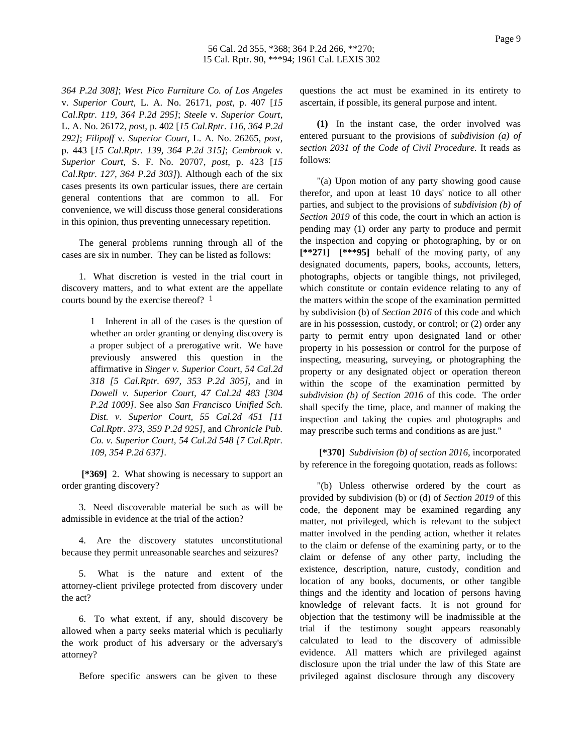*364 P.2d 308]*; *West Pico Furniture Co. of Los Angeles* v. *Superior Court*, L. A. No. 26171, *post*, p. 407 [*15 Cal.Rptr. 119, 364 P.2d 295]*; *Steele* v. *Superior Court*, L. A. No. 26172, *post*, p. 402 [*15 Cal.Rptr. 116, 364 P.2d 292]*; *Filipoff* v. *Superior Court*, L. A. No. 26265, *post*, p. 443 [*15 Cal.Rptr. 139, 364 P.2d 315]*; *Cembrook* v. *Superior Court*, S. F. No. 20707, *post*, p. 423 [*15 Cal.Rptr. 127, 364 P.2d 303]*). Although each of the six cases presents its own particular issues, there are certain general contentions that are common to all. For convenience, we will discuss those general considerations in this opinion, thus preventing unnecessary repetition.

The general problems running through all of the cases are six in number. They can be listed as follows:

1. What discretion is vested in the trial court in discovery matters, and to what extent are the appellate courts bound by the exercise thereof? <sup>1</sup>

> 1 Inherent in all of the cases is the question of whether an order granting or denying discovery is a proper subject of a prerogative writ. We have previously answered this question in the affirmative in *Singer v. Superior Court, 54 Cal.2d 318 [5 Cal.Rptr. 697, 353 P.2d 305]*, and in *Dowell v. Superior Court, 47 Cal.2d 483 [304 P.2d 1009]*. See also *San Francisco Unified Sch. Dist. v. Superior Court, 55 Cal.2d 451 [11 Cal.Rptr. 373, 359 P.2d 925]*, and *Chronicle Pub. Co. v. Superior Court, 54 Cal.2d 548 [7 Cal.Rptr. 109, 354 P.2d 637]*.

**[\*369]** 2. What showing is necessary to support an order granting discovery?

3. Need discoverable material be such as will be admissible in evidence at the trial of the action?

4. Are the discovery statutes unconstitutional because they permit unreasonable searches and seizures?

5. What is the nature and extent of the attorney-client privilege protected from discovery under the act?

6. To what extent, if any, should discovery be allowed when a party seeks material which is peculiarly the work product of his adversary or the adversary's attorney?

Before specific answers can be given to these

questions the act must be examined in its entirety to ascertain, if possible, its general purpose and intent.

**(1)** In the instant case, the order involved was entered pursuant to the provisions of *subdivision (a) of section 2031 of the Code of Civil Procedure.* It reads as follows:

"(a) Upon motion of any party showing good cause therefor, and upon at least 10 days' notice to all other parties, and subject to the provisions of *subdivision (b) of Section 2019* of this code, the court in which an action is pending may (1) order any party to produce and permit the inspection and copying or photographing, by or on **[\*\*271] [\*\*\*95]** behalf of the moving party, of any designated documents, papers, books, accounts, letters, photographs, objects or tangible things, not privileged, which constitute or contain evidence relating to any of the matters within the scope of the examination permitted by subdivision (b) of *Section 2016* of this code and which are in his possession, custody, or control; or (2) order any party to permit entry upon designated land or other property in his possession or control for the purpose of inspecting, measuring, surveying, or photographing the property or any designated object or operation thereon within the scope of the examination permitted by *subdivision (b) of Section 2016* of this code. The order shall specify the time, place, and manner of making the inspection and taking the copies and photographs and may prescribe such terms and conditions as are just."

**[\*370]** *Subdivision (b) of section 2016*, incorporated by reference in the foregoing quotation, reads as follows:

"(b) Unless otherwise ordered by the court as provided by subdivision (b) or (d) of *Section 2019* of this code, the deponent may be examined regarding any matter, not privileged, which is relevant to the subject matter involved in the pending action, whether it relates to the claim or defense of the examining party, or to the claim or defense of any other party, including the existence, description, nature, custody, condition and location of any books, documents, or other tangible things and the identity and location of persons having knowledge of relevant facts. It is not ground for objection that the testimony will be inadmissible at the trial if the testimony sought appears reasonably calculated to lead to the discovery of admissible evidence. All matters which are privileged against disclosure upon the trial under the law of this State are privileged against disclosure through any discovery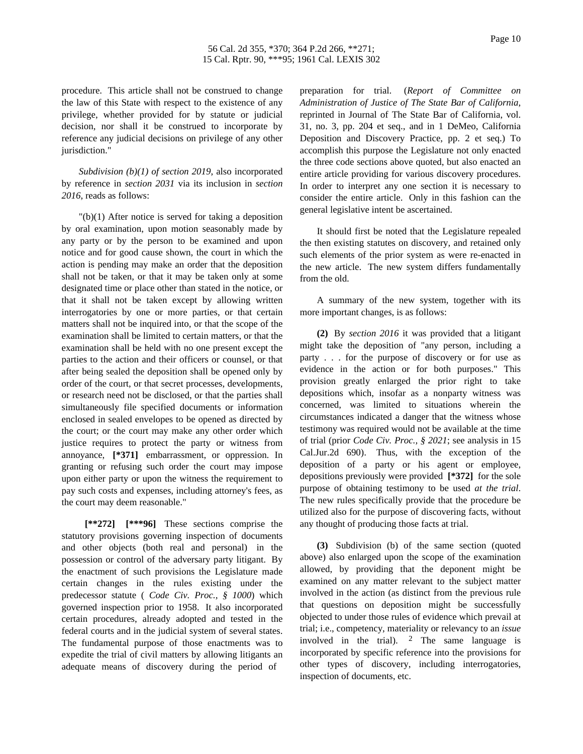procedure. This article shall not be construed to change the law of this State with respect to the existence of any privilege, whether provided for by statute or judicial decision, nor shall it be construed to incorporate by reference any judicial decisions on privilege of any other jurisdiction."

*Subdivision (b)(1) of section 2019*, also incorporated by reference in *section 2031* via its inclusion in *section 2016*, reads as follows:

"(b)(1) After notice is served for taking a deposition by oral examination, upon motion seasonably made by any party or by the person to be examined and upon notice and for good cause shown, the court in which the action is pending may make an order that the deposition shall not be taken, or that it may be taken only at some designated time or place other than stated in the notice, or that it shall not be taken except by allowing written interrogatories by one or more parties, or that certain matters shall not be inquired into, or that the scope of the examination shall be limited to certain matters, or that the examination shall be held with no one present except the parties to the action and their officers or counsel, or that after being sealed the deposition shall be opened only by order of the court, or that secret processes, developments, or research need not be disclosed, or that the parties shall simultaneously file specified documents or information enclosed in sealed envelopes to be opened as directed by the court; or the court may make any other order which justice requires to protect the party or witness from annoyance, **[\*371]** embarrassment, or oppression. In granting or refusing such order the court may impose upon either party or upon the witness the requirement to pay such costs and expenses, including attorney's fees, as the court may deem reasonable."

**[\*\*272] [\*\*\*96]** These sections comprise the statutory provisions governing inspection of documents and other objects (both real and personal) in the possession or control of the adversary party litigant. By the enactment of such provisions the Legislature made certain changes in the rules existing under the predecessor statute ( *Code Civ. Proc., § 1000*) which governed inspection prior to 1958. It also incorporated certain procedures, already adopted and tested in the federal courts and in the judicial system of several states. The fundamental purpose of those enactments was to expedite the trial of civil matters by allowing litigants an adequate means of discovery during the period of

preparation for trial. (*Report of Committee on Administration of Justice of The State Bar of California*, reprinted in Journal of The State Bar of California, vol. 31, no. 3, pp. 204 et seq., and in 1 DeMeo, California Deposition and Discovery Practice, pp. 2 et seq.) To accomplish this purpose the Legislature not only enacted the three code sections above quoted, but also enacted an entire article providing for various discovery procedures. In order to interpret any one section it is necessary to consider the entire article. Only in this fashion can the general legislative intent be ascertained.

It should first be noted that the Legislature repealed the then existing statutes on discovery, and retained only such elements of the prior system as were re-enacted in the new article. The new system differs fundamentally from the old.

A summary of the new system, together with its more important changes, is as follows:

**(2)** By *section 2016* it was provided that a litigant might take the deposition of "any person, including a party . . . for the purpose of discovery or for use as evidence in the action or for both purposes." This provision greatly enlarged the prior right to take depositions which, insofar as a nonparty witness was concerned, was limited to situations wherein the circumstances indicated a danger that the witness whose testimony was required would not be available at the time of trial (prior *Code Civ. Proc., § 2021*; see analysis in 15 Cal.Jur.2d 690). Thus, with the exception of the deposition of a party or his agent or employee, depositions previously were provided **[\*372]** for the sole purpose of obtaining testimony to be used *at the trial*. The new rules specifically provide that the procedure be utilized also for the purpose of discovering facts, without any thought of producing those facts at trial.

**(3)** Subdivision (b) of the same section (quoted above) also enlarged upon the scope of the examination allowed, by providing that the deponent might be examined on any matter relevant to the subject matter involved in the action (as distinct from the previous rule that questions on deposition might be successfully objected to under those rules of evidence which prevail at trial; i.e., competency, materiality or relevancy to an *issue* involved in the trial). <sup>2</sup> The same language is incorporated by specific reference into the provisions for other types of discovery, including interrogatories, inspection of documents, etc.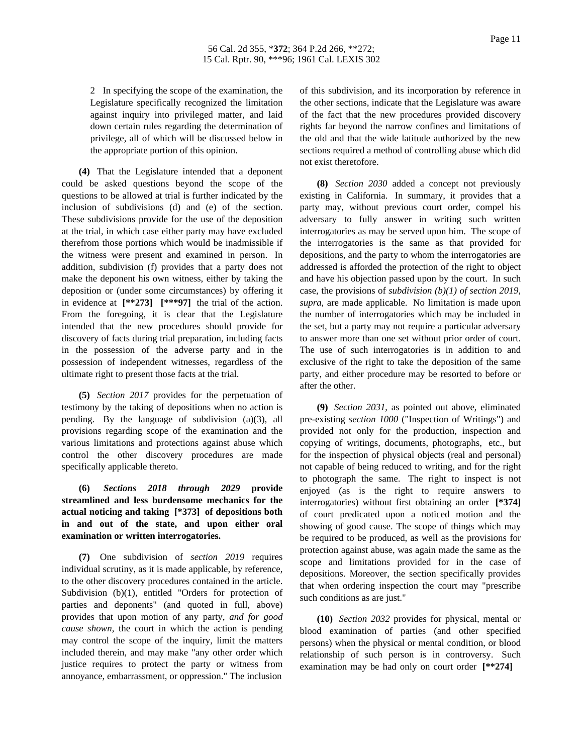2 In specifying the scope of the examination, the Legislature specifically recognized the limitation against inquiry into privileged matter, and laid down certain rules regarding the determination of privilege, all of which will be discussed below in the appropriate portion of this opinion.

**(4)** That the Legislature intended that a deponent could be asked questions beyond the scope of the questions to be allowed at trial is further indicated by the inclusion of subdivisions (d) and (e) of the section. These subdivisions provide for the use of the deposition at the trial, in which case either party may have excluded therefrom those portions which would be inadmissible if the witness were present and examined in person. In addition, subdivision (f) provides that a party does not make the deponent his own witness, either by taking the deposition or (under some circumstances) by offering it in evidence at **[\*\*273] [\*\*\*97]** the trial of the action. From the foregoing, it is clear that the Legislature intended that the new procedures should provide for discovery of facts during trial preparation, including facts in the possession of the adverse party and in the possession of independent witnesses, regardless of the ultimate right to present those facts at the trial.

**(5)** *Section 2017* provides for the perpetuation of testimony by the taking of depositions when no action is pending. By the language of subdivision (a)(3), all provisions regarding scope of the examination and the various limitations and protections against abuse which control the other discovery procedures are made specifically applicable thereto.

**(6)** *Sections 2018 through 2029* **provide streamlined and less burdensome mechanics for the actual noticing and taking [\*373] of depositions both in and out of the state, and upon either oral examination or written interrogatories.**

**(7)** One subdivision of *section 2019* requires individual scrutiny, as it is made applicable, by reference, to the other discovery procedures contained in the article. Subdivision (b)(1), entitled "Orders for protection of parties and deponents" (and quoted in full, above) provides that upon motion of any party, *and for good cause shown*, the court in which the action is pending may control the scope of the inquiry, limit the matters included therein, and may make "any other order which justice requires to protect the party or witness from annoyance, embarrassment, or oppression." The inclusion

of this subdivision, and its incorporation by reference in the other sections, indicate that the Legislature was aware of the fact that the new procedures provided discovery rights far beyond the narrow confines and limitations of the old and that the wide latitude authorized by the new sections required a method of controlling abuse which did not exist theretofore.

**(8)** *Section 2030* added a concept not previously existing in California. In summary, it provides that a party may, without previous court order, compel his adversary to fully answer in writing such written interrogatories as may be served upon him. The scope of the interrogatories is the same as that provided for depositions, and the party to whom the interrogatories are addressed is afforded the protection of the right to object and have his objection passed upon by the court. In such case, the provisions of *subdivision (b)(1) of section 2019*, *supra*, are made applicable. No limitation is made upon the number of interrogatories which may be included in the set, but a party may not require a particular adversary to answer more than one set without prior order of court. The use of such interrogatories is in addition to and exclusive of the right to take the deposition of the same party, and either procedure may be resorted to before or after the other.

**(9)** *Section 2031*, as pointed out above, eliminated pre-existing *section 1000* ("Inspection of Writings") and provided not only for the production, inspection and copying of writings, documents, photographs, etc., but for the inspection of physical objects (real and personal) not capable of being reduced to writing, and for the right to photograph the same. The right to inspect is not enjoyed (as is the right to require answers to interrogatories) without first obtaining an order **[\*374]** of court predicated upon a noticed motion and the showing of good cause. The scope of things which may be required to be produced, as well as the provisions for protection against abuse, was again made the same as the scope and limitations provided for in the case of depositions. Moreover, the section specifically provides that when ordering inspection the court may "prescribe such conditions as are just."

**(10)** *Section 2032* provides for physical, mental or blood examination of parties (and other specified persons) when the physical or mental condition, or blood relationship of such person is in controversy. Such examination may be had only on court order **[\*\*274]**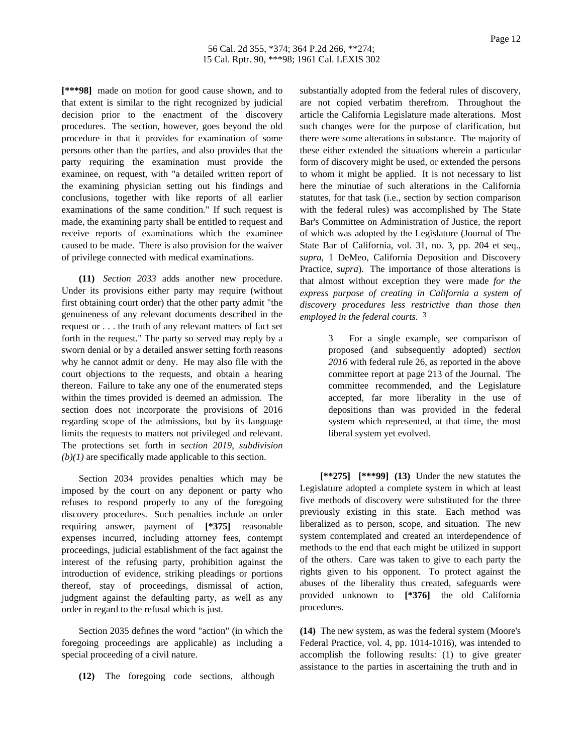**[\*\*\*98]** made on motion for good cause shown, and to that extent is similar to the right recognized by judicial decision prior to the enactment of the discovery procedures. The section, however, goes beyond the old procedure in that it provides for examination of some persons other than the parties, and also provides that the party requiring the examination must provide the examinee, on request, with "a detailed written report of the examining physician setting out his findings and conclusions, together with like reports of all earlier examinations of the same condition." If such request is made, the examining party shall be entitled to request and receive reports of examinations which the examinee caused to be made. There is also provision for the waiver of privilege connected with medical examinations.

**(11)** *Section 2033* adds another new procedure. Under its provisions either party may require (without first obtaining court order) that the other party admit "the genuineness of any relevant documents described in the request or . . . the truth of any relevant matters of fact set forth in the request." The party so served may reply by a sworn denial or by a detailed answer setting forth reasons why he cannot admit or deny. He may also file with the court objections to the requests, and obtain a hearing thereon. Failure to take any one of the enumerated steps within the times provided is deemed an admission. The section does not incorporate the provisions of 2016 regarding scope of the admissions, but by its language limits the requests to matters not privileged and relevant. The protections set forth in *section 2019, subdivision (b)(1)* are specifically made applicable to this section.

Section 2034 provides penalties which may be imposed by the court on any deponent or party who refuses to respond properly to any of the foregoing discovery procedures. Such penalties include an order requiring answer, payment of **[\*375]** reasonable expenses incurred, including attorney fees, contempt proceedings, judicial establishment of the fact against the interest of the refusing party, prohibition against the introduction of evidence, striking pleadings or portions thereof, stay of proceedings, dismissal of action, judgment against the defaulting party, as well as any order in regard to the refusal which is just.

Section 2035 defines the word "action" (in which the foregoing proceedings are applicable) as including a special proceeding of a civil nature.

**(12)** The foregoing code sections, although

substantially adopted from the federal rules of discovery, are not copied verbatim therefrom. Throughout the article the California Legislature made alterations. Most such changes were for the purpose of clarification, but there were some alterations in substance. The majority of these either extended the situations wherein a particular form of discovery might be used, or extended the persons to whom it might be applied. It is not necessary to list here the minutiae of such alterations in the California statutes, for that task (i.e., section by section comparison with the federal rules) was accomplished by The State Bar's Committee on Administration of Justice, the report of which was adopted by the Legislature (Journal of The State Bar of California, vol. 31, no. 3, pp. 204 et seq., *supra*, 1 DeMeo, California Deposition and Discovery Practice, *supra*). The importance of those alterations is that almost without exception they were made *for the express purpose of creating in California a system of discovery procedures less restrictive than those then employed in the federal courts*. 3

> 3 For a single example, see comparison of proposed (and subsequently adopted) *section 2016* with federal rule 26, as reported in the above committee report at page 213 of the Journal. The committee recommended, and the Legislature accepted, far more liberality in the use of depositions than was provided in the federal system which represented, at that time, the most liberal system yet evolved.

**[\*\*275] [\*\*\*99] (13)** Under the new statutes the Legislature adopted a complete system in which at least five methods of discovery were substituted for the three previously existing in this state. Each method was liberalized as to person, scope, and situation. The new system contemplated and created an interdependence of methods to the end that each might be utilized in support of the others. Care was taken to give to each party the rights given to his opponent. To protect against the abuses of the liberality thus created, safeguards were provided unknown to **[\*376]** the old California procedures.

**(14)** The new system, as was the federal system (Moore's Federal Practice, vol. 4, pp. 1014-1016), was intended to accomplish the following results: (1) to give greater assistance to the parties in ascertaining the truth and in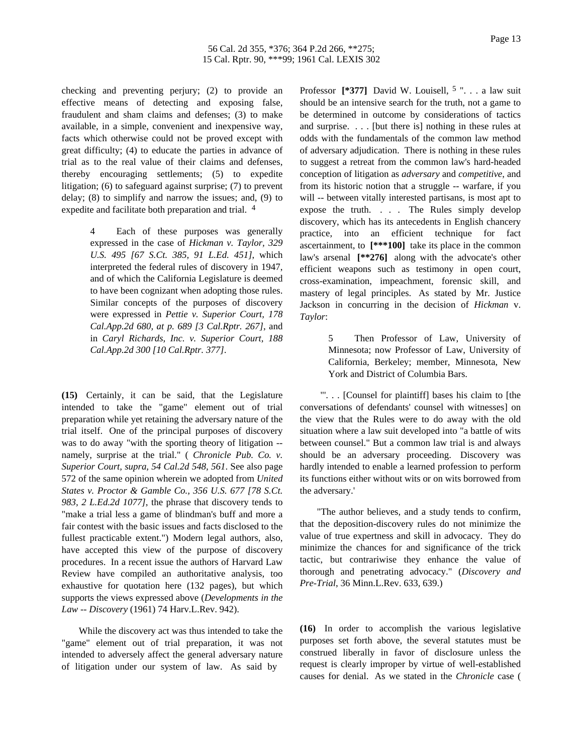checking and preventing perjury; (2) to provide an effective means of detecting and exposing false, fraudulent and sham claims and defenses; (3) to make available, in a simple, convenient and inexpensive way, facts which otherwise could not be proved except with great difficulty; (4) to educate the parties in advance of trial as to the real value of their claims and defenses, thereby encouraging settlements; (5) to expedite litigation; (6) to safeguard against surprise; (7) to prevent delay; (8) to simplify and narrow the issues; and, (9) to expedite and facilitate both preparation and trial. 4

> 4 Each of these purposes was generally expressed in the case of *Hickman v. Taylor, 329 U.S. 495 [67 S.Ct. 385, 91 L.Ed. 451]*, which interpreted the federal rules of discovery in 1947, and of which the California Legislature is deemed to have been cognizant when adopting those rules. Similar concepts of the purposes of discovery were expressed in *Pettie v. Superior Court, 178 Cal.App.2d 680, at p. 689 [3 Cal.Rptr. 267]*, and in *Caryl Richards, Inc. v. Superior Court, 188 Cal.App.2d 300 [10 Cal.Rptr. 377]*.

**(15)** Certainly, it can be said, that the Legislature intended to take the "game" element out of trial preparation while yet retaining the adversary nature of the trial itself. One of the principal purposes of discovery was to do away "with the sporting theory of litigation - namely, surprise at the trial." ( *Chronicle Pub. Co. v. Superior Court, supra, 54 Cal.2d 548, 561*. See also page 572 of the same opinion wherein we adopted from *United States v. Proctor & Gamble Co., 356 U.S. 677 [78 S.Ct. 983, 2 L.Ed.2d 1077]*, the phrase that discovery tends to "make a trial less a game of blindman's buff and more a fair contest with the basic issues and facts disclosed to the fullest practicable extent.") Modern legal authors, also, have accepted this view of the purpose of discovery procedures. In a recent issue the authors of Harvard Law Review have compiled an authoritative analysis, too exhaustive for quotation here (132 pages), but which supports the views expressed above (*Developments in the Law -- Discovery* (1961) 74 Harv.L.Rev. 942).

While the discovery act was thus intended to take the "game" element out of trial preparation, it was not intended to adversely affect the general adversary nature of litigation under our system of law. As said by

Professor **[\*377]** David W. Louisell, <sup>5</sup> ". . . a law suit should be an intensive search for the truth, not a game to be determined in outcome by considerations of tactics and surprise. . . . [but there is] nothing in these rules at odds with the fundamentals of the common law method of adversary adjudication. There is nothing in these rules to suggest a retreat from the common law's hard-headed conception of litigation as *adversary* and *competitive*, and from its historic notion that a struggle -- warfare, if you will -- between vitally interested partisans, is most apt to expose the truth. . . . The Rules simply develop discovery, which has its antecedents in English chancery practice, into an efficient technique for fact ascertainment, to **[\*\*\*100]** take its place in the common law's arsenal **[\*\*276]** along with the advocate's other efficient weapons such as testimony in open court, cross-examination, impeachment, forensic skill, and mastery of legal principles. As stated by Mr. Justice Jackson in concurring in the decision of *Hickman* v. *Taylor*:

> 5 Then Professor of Law, University of Minnesota; now Professor of Law, University of California, Berkeley; member, Minnesota, New York and District of Columbia Bars.

"'. . . [Counsel for plaintiff] bases his claim to [the conversations of defendants' counsel with witnesses] on the view that the Rules were to do away with the old situation where a law suit developed into "a battle of wits between counsel." But a common law trial is and always should be an adversary proceeding. Discovery was hardly intended to enable a learned profession to perform its functions either without wits or on wits borrowed from the adversary.'

"The author believes, and a study tends to confirm, that the deposition-discovery rules do not minimize the value of true expertness and skill in advocacy. They do minimize the chances for and significance of the trick tactic, but contrariwise they enhance the value of thorough and penetrating advocacy." (*Discovery and Pre-Trial*, 36 Minn.L.Rev. 633, 639.)

**(16)** In order to accomplish the various legislative purposes set forth above, the several statutes must be construed liberally in favor of disclosure unless the request is clearly improper by virtue of well-established causes for denial. As we stated in the *Chronicle* case (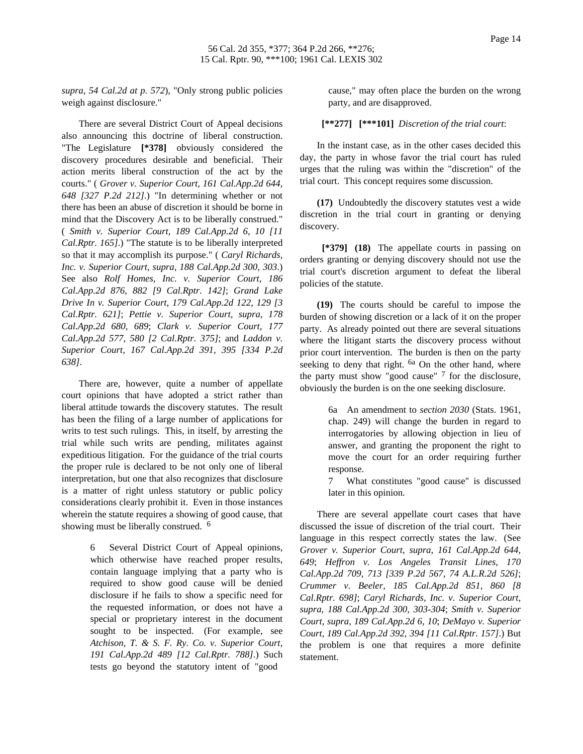*supra*, *54 Cal.2d at p. 572*), "Only strong public policies weigh against disclosure."

There are several District Court of Appeal decisions also announcing this doctrine of liberal construction. "The Legislature **[\*378]** obviously considered the discovery procedures desirable and beneficial. Their action merits liberal construction of the act by the courts." ( *Grover v. Superior Court, 161 Cal.App.2d 644, 648 [327 P.2d 212]*.) "In determining whether or not there has been an abuse of discretion it should be borne in mind that the Discovery Act is to be liberally construed." ( *Smith v. Superior Court, 189 Cal.App.2d 6, 10 [11 Cal.Rptr. 165]*.) "The statute is to be liberally interpreted so that it may accomplish its purpose." ( *Caryl Richards, Inc. v. Superior Court, supra, 188 Cal.App.2d 300, 303*.) See also *Rolf Homes, Inc. v. Superior Court, 186 Cal.App.2d 876, 882 [9 Cal.Rptr. 142]*; *Grand Lake Drive In v. Superior Court, 179 Cal.App.2d 122, 129 [3 Cal.Rptr. 621]*; *Pettie v. Superior Court, supra, 178 Cal.App.2d 680, 689*; *Clark v. Superior Court, 177 Cal.App.2d 577, 580 [2 Cal.Rptr. 375]*; and *Laddon v. Superior Court, 167 Cal.App.2d 391, 395 [334 P.2d 638]*.

There are, however, quite a number of appellate court opinions that have adopted a strict rather than liberal attitude towards the discovery statutes. The result has been the filing of a large number of applications for writs to test such rulings. This, in itself, by arresting the trial while such writs are pending, militates against expeditious litigation. For the guidance of the trial courts the proper rule is declared to be not only one of liberal interpretation, but one that also recognizes that disclosure is a matter of right unless statutory or public policy considerations clearly prohibit it. Even in those instances wherein the statute requires a showing of good cause, that showing must be liberally construed. <sup>6</sup>

> Several District Court of Appeal opinions, which otherwise have reached proper results, contain language implying that a party who is required to show good cause will be denied disclosure if he fails to show a specific need for the requested information, or does not have a special or proprietary interest in the document sought to be inspected. (For example, see *Atchison, T. & S. F. Ry. Co. v. Superior Court, 191 Cal.App.2d 489 [12 Cal.Rptr. 788]*.) Such tests go beyond the statutory intent of "good

cause," may often place the burden on the wrong party, and are disapproved.

**[\*\*277] [\*\*\*101]** *Discretion of the trial court*:

In the instant case, as in the other cases decided this day, the party in whose favor the trial court has ruled urges that the ruling was within the "discretion" of the trial court. This concept requires some discussion.

**(17)** Undoubtedly the discovery statutes vest a wide discretion in the trial court in granting or denying discovery.

**[\*379] (18)** The appellate courts in passing on orders granting or denying discovery should not use the trial court's discretion argument to defeat the liberal policies of the statute.

**(19)** The courts should be careful to impose the burden of showing discretion or a lack of it on the proper party. As already pointed out there are several situations where the litigant starts the discovery process without prior court intervention. The burden is then on the party seeking to deny that right.  $6a$  On the other hand, where the party must show "good cause"  $7$  for the disclosure, obviously the burden is on the one seeking disclosure.

> 6a An amendment to *section 2030* (Stats. 1961, chap. 249) will change the burden in regard to interrogatories by allowing objection in lieu of answer, and granting the proponent the right to move the court for an order requiring further response.

> 7 What constitutes "good cause" is discussed later in this opinion.

There are several appellate court cases that have discussed the issue of discretion of the trial court. Their language in this respect correctly states the law. (See *Grover v. Superior Court, supra, 161 Cal.App.2d 644, 649*; *Heffron v. Los Angeles Transit Lines, 170 Cal.App.2d 709, 713 [339 P.2d 567, 74 A.L.R.2d 526]*; *Crummer v. Beeler, 185 Cal.App.2d 851, 860 [8 Cal.Rptr. 698]*; *Caryl Richards, Inc. v. Superior Court, supra, 188 Cal.App.2d 300, 303-304*; *Smith v. Superior Court, supra, 189 Cal.App.2d 6, 10*; *DeMayo v. Superior Court, 189 Cal.App.2d 392, 394 [11 Cal.Rptr. 157]*.) But the problem is one that requires a more definite statement.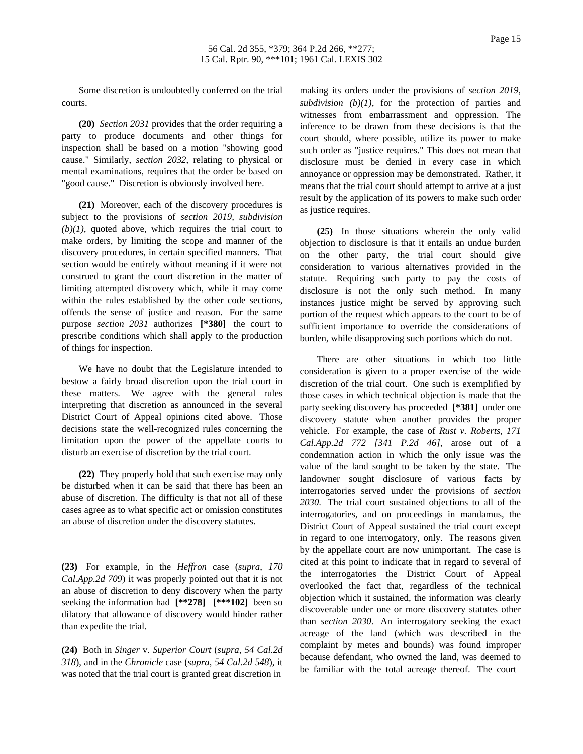Some discretion is undoubtedly conferred on the trial courts.

**(20)** *Section 2031* provides that the order requiring a party to produce documents and other things for inspection shall be based on a motion "showing good cause." Similarly, *section 2032*, relating to physical or mental examinations, requires that the order be based on "good cause." Discretion is obviously involved here.

**(21)** Moreover, each of the discovery procedures is subject to the provisions of *section 2019, subdivision*  $(b)(1)$ , quoted above, which requires the trial court to make orders, by limiting the scope and manner of the discovery procedures, in certain specified manners. That section would be entirely without meaning if it were not construed to grant the court discretion in the matter of limiting attempted discovery which, while it may come within the rules established by the other code sections, offends the sense of justice and reason. For the same purpose *section 2031* authorizes **[\*380]** the court to prescribe conditions which shall apply to the production of things for inspection.

We have no doubt that the Legislature intended to bestow a fairly broad discretion upon the trial court in these matters. We agree with the general rules interpreting that discretion as announced in the several District Court of Appeal opinions cited above. Those decisions state the well-recognized rules concerning the limitation upon the power of the appellate courts to disturb an exercise of discretion by the trial court.

**(22)** They properly hold that such exercise may only be disturbed when it can be said that there has been an abuse of discretion. The difficulty is that not all of these cases agree as to what specific act or omission constitutes an abuse of discretion under the discovery statutes.

**(23)** For example, in the *Heffron* case (*supra*, *170 Cal.App.2d 709*) it was properly pointed out that it is not an abuse of discretion to deny discovery when the party seeking the information had **[\*\*278] [\*\*\*102]** been so dilatory that allowance of discovery would hinder rather than expedite the trial.

**(24)** Both in *Singer* v. *Superior Court* (*supra*, *54 Cal.2d 318*), and in the *Chronicle* case (*supra*, *54 Cal.2d 548*), it was noted that the trial court is granted great discretion in

making its orders under the provisions of *section 2019, subdivision (b)(1)*, for the protection of parties and witnesses from embarrassment and oppression. The inference to be drawn from these decisions is that the court should, where possible, utilize its power to make such order as "justice requires." This does not mean that disclosure must be denied in every case in which annoyance or oppression may be demonstrated. Rather, it means that the trial court should attempt to arrive at a just result by the application of its powers to make such order as justice requires.

**(25)** In those situations wherein the only valid objection to disclosure is that it entails an undue burden on the other party, the trial court should give consideration to various alternatives provided in the statute. Requiring such party to pay the costs of disclosure is not the only such method. In many instances justice might be served by approving such portion of the request which appears to the court to be of sufficient importance to override the considerations of burden, while disapproving such portions which do not.

There are other situations in which too little consideration is given to a proper exercise of the wide discretion of the trial court. One such is exemplified by those cases in which technical objection is made that the party seeking discovery has proceeded **[\*381]** under one discovery statute when another provides the proper vehicle. For example, the case of *Rust v. Roberts, 171 Cal.App.2d 772 [341 P.2d 46]*, arose out of a condemnation action in which the only issue was the value of the land sought to be taken by the state. The landowner sought disclosure of various facts by interrogatories served under the provisions of *section 2030*. The trial court sustained objections to all of the interrogatories, and on proceedings in mandamus, the District Court of Appeal sustained the trial court except in regard to one interrogatory, only. The reasons given by the appellate court are now unimportant. The case is cited at this point to indicate that in regard to several of the interrogatories the District Court of Appeal overlooked the fact that, regardless of the technical objection which it sustained, the information was clearly discoverable under one or more discovery statutes other than *section 2030*. An interrogatory seeking the exact acreage of the land (which was described in the complaint by metes and bounds) was found improper because defendant, who owned the land, was deemed to be familiar with the total acreage thereof. The court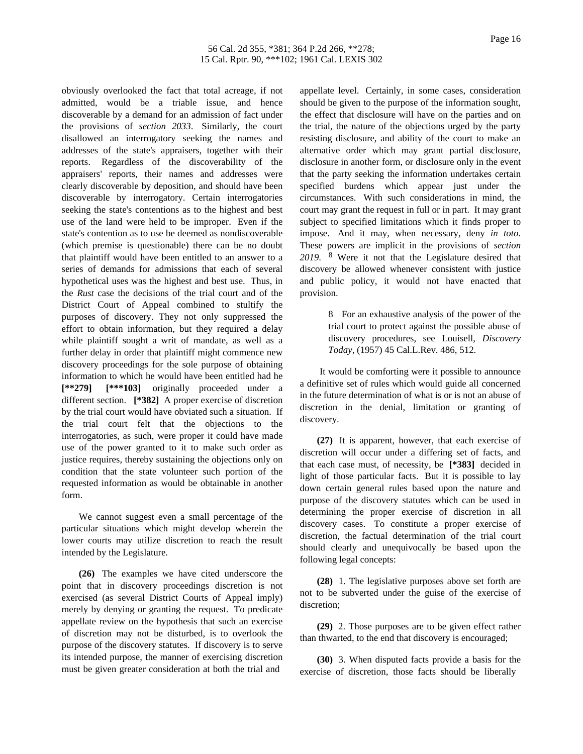obviously overlooked the fact that total acreage, if not admitted, would be a triable issue, and hence discoverable by a demand for an admission of fact under the provisions of *section 2033*. Similarly, the court disallowed an interrogatory seeking the names and addresses of the state's appraisers, together with their reports. Regardless of the discoverability of the appraisers' reports, their names and addresses were clearly discoverable by deposition, and should have been discoverable by interrogatory. Certain interrogatories seeking the state's contentions as to the highest and best use of the land were held to be improper. Even if the state's contention as to use be deemed as nondiscoverable (which premise is questionable) there can be no doubt that plaintiff would have been entitled to an answer to a series of demands for admissions that each of several hypothetical uses was the highest and best use. Thus, in the *Rust* case the decisions of the trial court and of the District Court of Appeal combined to stultify the purposes of discovery. They not only suppressed the effort to obtain information, but they required a delay while plaintiff sought a writ of mandate, as well as a further delay in order that plaintiff might commence new discovery proceedings for the sole purpose of obtaining information to which he would have been entitled had he **[\*\*279] [\*\*\*103]** originally proceeded under a different section. **[\*382]** A proper exercise of discretion by the trial court would have obviated such a situation. If the trial court felt that the objections to the interrogatories, as such, were proper it could have made use of the power granted to it to make such order as justice requires, thereby sustaining the objections only on condition that the state volunteer such portion of the requested information as would be obtainable in another form.

We cannot suggest even a small percentage of the particular situations which might develop wherein the lower courts may utilize discretion to reach the result intended by the Legislature.

**(26)** The examples we have cited underscore the point that in discovery proceedings discretion is not exercised (as several District Courts of Appeal imply) merely by denying or granting the request. To predicate appellate review on the hypothesis that such an exercise of discretion may not be disturbed, is to overlook the purpose of the discovery statutes. If discovery is to serve its intended purpose, the manner of exercising discretion must be given greater consideration at both the trial and

appellate level. Certainly, in some cases, consideration should be given to the purpose of the information sought, the effect that disclosure will have on the parties and on the trial, the nature of the objections urged by the party resisting disclosure, and ability of the court to make an alternative order which may grant partial disclosure, disclosure in another form, or disclosure only in the event that the party seeking the information undertakes certain specified burdens which appear just under the circumstances. With such considerations in mind, the court may grant the request in full or in part. It may grant subject to specified limitations which it finds proper to impose. And it may, when necessary, deny *in toto*. These powers are implicit in the provisions of *section 2019*. 8 Were it not that the Legislature desired that discovery be allowed whenever consistent with justice and public policy, it would not have enacted that provision.

> 8 For an exhaustive analysis of the power of the trial court to protect against the possible abuse of discovery procedures, see Louisell, *Discovery Today*, (1957) 45 Cal.L.Rev. 486, 512.

It would be comforting were it possible to announce a definitive set of rules which would guide all concerned in the future determination of what is or is not an abuse of discretion in the denial, limitation or granting of discovery.

**(27)** It is apparent, however, that each exercise of discretion will occur under a differing set of facts, and that each case must, of necessity, be **[\*383]** decided in light of those particular facts. But it is possible to lay down certain general rules based upon the nature and purpose of the discovery statutes which can be used in determining the proper exercise of discretion in all discovery cases. To constitute a proper exercise of discretion, the factual determination of the trial court should clearly and unequivocally be based upon the following legal concepts:

**(28)** 1. The legislative purposes above set forth are not to be subverted under the guise of the exercise of discretion;

**(29)** 2. Those purposes are to be given effect rather than thwarted, to the end that discovery is encouraged;

**(30)** 3. When disputed facts provide a basis for the exercise of discretion, those facts should be liberally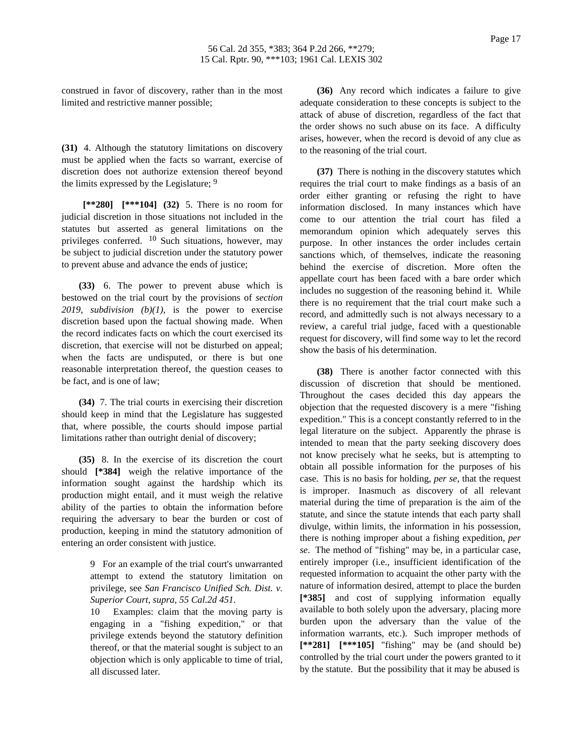construed in favor of discovery, rather than in the most limited and restrictive manner possible;

**(31)** 4. Although the statutory limitations on discovery must be applied when the facts so warrant, exercise of discretion does not authorize extension thereof beyond the limits expressed by the Legislature; <sup>9</sup>

**[\*\*280] [\*\*\*104] (32)** 5. There is no room for judicial discretion in those situations not included in the statutes but asserted as general limitations on the privileges conferred.  $10$  Such situations, however, may be subject to judicial discretion under the statutory power to prevent abuse and advance the ends of justice;

**(33)** 6. The power to prevent abuse which is bestowed on the trial court by the provisions of *section 2019, subdivision (b)(1)*, is the power to exercise discretion based upon the factual showing made. When the record indicates facts on which the court exercised its discretion, that exercise will not be disturbed on appeal; when the facts are undisputed, or there is but one reasonable interpretation thereof, the question ceases to be fact, and is one of law;

**(34)** 7. The trial courts in exercising their discretion should keep in mind that the Legislature has suggested that, where possible, the courts should impose partial limitations rather than outright denial of discovery;

**(35)** 8. In the exercise of its discretion the court should **[\*384]** weigh the relative importance of the information sought against the hardship which its production might entail, and it must weigh the relative ability of the parties to obtain the information before requiring the adversary to bear the burden or cost of production, keeping in mind the statutory admonition of entering an order consistent with justice.

> 9 For an example of the trial court's unwarranted attempt to extend the statutory limitation on privilege, see *San Francisco Unified Sch. Dist. v. Superior Court, supra, 55 Cal.2d 451*.

> 10 Examples: claim that the moving party is engaging in a "fishing expedition," or that privilege extends beyond the statutory definition thereof, or that the material sought is subject to an objection which is only applicable to time of trial, all discussed later.

**(36)** Any record which indicates a failure to give adequate consideration to these concepts is subject to the attack of abuse of discretion, regardless of the fact that the order shows no such abuse on its face. A difficulty arises, however, when the record is devoid of any clue as to the reasoning of the trial court.

**(37)** There is nothing in the discovery statutes which requires the trial court to make findings as a basis of an order either granting or refusing the right to have information disclosed. In many instances which have come to our attention the trial court has filed a memorandum opinion which adequately serves this purpose. In other instances the order includes certain sanctions which, of themselves, indicate the reasoning behind the exercise of discretion. More often the appellate court has been faced with a bare order which includes no suggestion of the reasoning behind it. While there is no requirement that the trial court make such a record, and admittedly such is not always necessary to a review, a careful trial judge, faced with a questionable request for discovery, will find some way to let the record show the basis of his determination.

**(38)** There is another factor connected with this discussion of discretion that should be mentioned. Throughout the cases decided this day appears the objection that the requested discovery is a mere "fishing expedition." This is a concept constantly referred to in the legal literature on the subject. Apparently the phrase is intended to mean that the party seeking discovery does not know precisely what he seeks, but is attempting to obtain all possible information for the purposes of his case. This is no basis for holding, *per se*, that the request is improper. Inasmuch as discovery of all relevant material during the time of preparation is the aim of the statute, and since the statute intends that each party shall divulge, within limits, the information in his possession, there is nothing improper about a fishing expedition, *per se*. The method of "fishing" may be, in a particular case, entirely improper (i.e., insufficient identification of the requested information to acquaint the other party with the nature of information desired, attempt to place the burden **[\*385]** and cost of supplying information equally available to both solely upon the adversary, placing more burden upon the adversary than the value of the information warrants, etc.). Such improper methods of **[\*\*281] [\*\*\*105]** "fishing" may be (and should be) controlled by the trial court under the powers granted to it by the statute. But the possibility that it may be abused is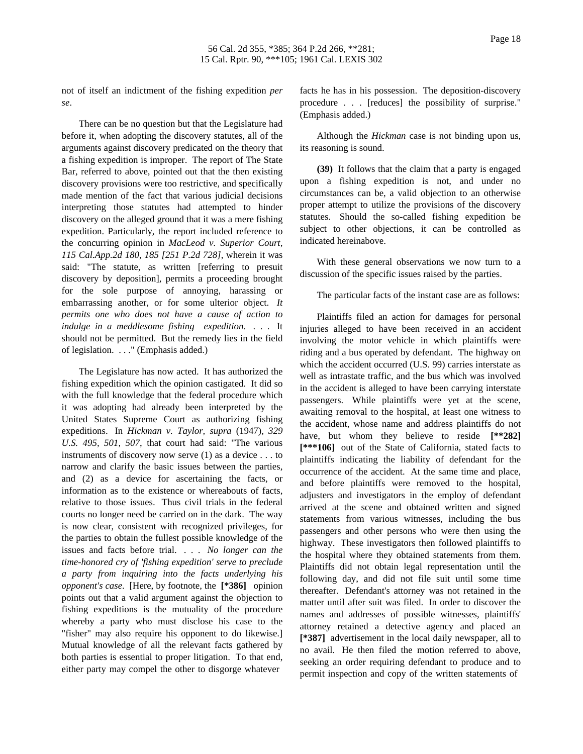not of itself an indictment of the fishing expedition *per se*.

There can be no question but that the Legislature had before it, when adopting the discovery statutes, all of the arguments against discovery predicated on the theory that a fishing expedition is improper. The report of The State Bar, referred to above, pointed out that the then existing discovery provisions were too restrictive, and specifically made mention of the fact that various judicial decisions interpreting those statutes had attempted to hinder discovery on the alleged ground that it was a mere fishing expedition. Particularly, the report included reference to the concurring opinion in *MacLeod v. Superior Court, 115 Cal.App.2d 180, 185 [251 P.2d 728]*, wherein it was said: "The statute, as written [referring to presuit discovery by deposition], permits a proceeding brought for the sole purpose of annoying, harassing or embarrassing another, or for some ulterior object. *It permits one who does not have a cause of action to indulge in a meddlesome fishing expedition*. . . . It should not be permitted. But the remedy lies in the field of legislation. . . ." (Emphasis added.)

The Legislature has now acted. It has authorized the fishing expedition which the opinion castigated. It did so with the full knowledge that the federal procedure which it was adopting had already been interpreted by the United States Supreme Court as authorizing fishing expeditions. In *Hickman v. Taylor, supra* (1947), *329 U.S. 495, 501, 507*, that court had said: "The various instruments of discovery now serve (1) as a device . . . to narrow and clarify the basic issues between the parties, and (2) as a device for ascertaining the facts, or information as to the existence or whereabouts of facts, relative to those issues. Thus civil trials in the federal courts no longer need be carried on in the dark. The way is now clear, consistent with recognized privileges, for the parties to obtain the fullest possible knowledge of the issues and facts before trial. . . . *No longer can the time-honored cry of 'fishing expedition' serve to preclude a party from inquiring into the facts underlying his opponent's case*. [Here, by footnote, the **[\*386]** opinion points out that a valid argument against the objection to fishing expeditions is the mutuality of the procedure whereby a party who must disclose his case to the "fisher" may also require his opponent to do likewise.] Mutual knowledge of all the relevant facts gathered by both parties is essential to proper litigation. To that end, either party may compel the other to disgorge whatever

facts he has in his possession. The deposition-discovery procedure . . . [reduces] the possibility of surprise." (Emphasis added.)

Although the *Hickman* case is not binding upon us, its reasoning is sound.

**(39)** It follows that the claim that a party is engaged upon a fishing expedition is not, and under no circumstances can be, a valid objection to an otherwise proper attempt to utilize the provisions of the discovery statutes. Should the so-called fishing expedition be subject to other objections, it can be controlled as indicated hereinabove.

With these general observations we now turn to a discussion of the specific issues raised by the parties.

The particular facts of the instant case are as follows:

Plaintiffs filed an action for damages for personal injuries alleged to have been received in an accident involving the motor vehicle in which plaintiffs were riding and a bus operated by defendant. The highway on which the accident occurred (U.S. 99) carries interstate as well as intrastate traffic, and the bus which was involved in the accident is alleged to have been carrying interstate passengers. While plaintiffs were yet at the scene, awaiting removal to the hospital, at least one witness to the accident, whose name and address plaintiffs do not have, but whom they believe to reside **[\*\*282] [\*\*\*106]** out of the State of California, stated facts to plaintiffs indicating the liability of defendant for the occurrence of the accident. At the same time and place, and before plaintiffs were removed to the hospital, adjusters and investigators in the employ of defendant arrived at the scene and obtained written and signed statements from various witnesses, including the bus passengers and other persons who were then using the highway. These investigators then followed plaintiffs to the hospital where they obtained statements from them. Plaintiffs did not obtain legal representation until the following day, and did not file suit until some time thereafter. Defendant's attorney was not retained in the matter until after suit was filed. In order to discover the names and addresses of possible witnesses, plaintiffs' attorney retained a detective agency and placed an **[\*387]** advertisement in the local daily newspaper, all to no avail. He then filed the motion referred to above, seeking an order requiring defendant to produce and to permit inspection and copy of the written statements of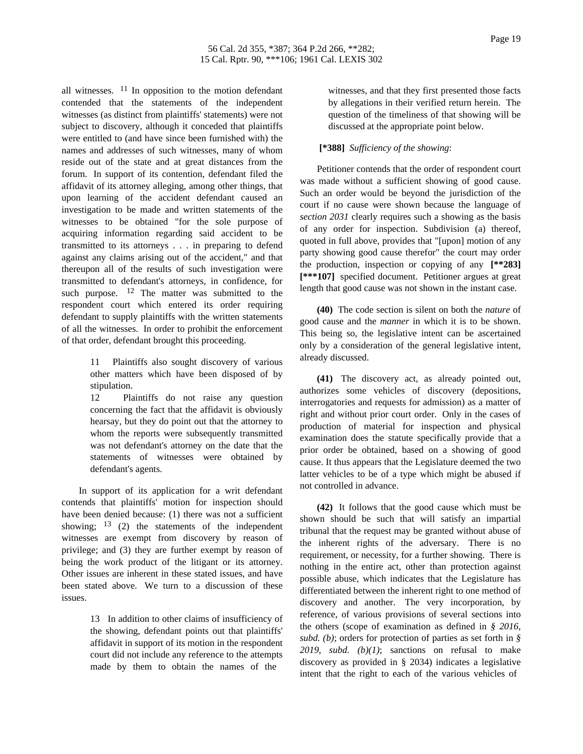all witnesses.  $11$  In opposition to the motion defendant contended that the statements of the independent witnesses (as distinct from plaintiffs' statements) were not subject to discovery, although it conceded that plaintiffs were entitled to (and have since been furnished with) the names and addresses of such witnesses, many of whom reside out of the state and at great distances from the forum. In support of its contention, defendant filed the affidavit of its attorney alleging, among other things, that upon learning of the accident defendant caused an investigation to be made and written statements of the witnesses to be obtained "for the sole purpose of acquiring information regarding said accident to be transmitted to its attorneys . . . in preparing to defend against any claims arising out of the accident," and that thereupon all of the results of such investigation were transmitted to defendant's attorneys, in confidence, for such purpose.  $12$  The matter was submitted to the respondent court which entered its order requiring defendant to supply plaintiffs with the written statements of all the witnesses. In order to prohibit the enforcement of that order, defendant brought this proceeding.

> 11 Plaintiffs also sought discovery of various other matters which have been disposed of by stipulation.

12 Plaintiffs do not raise any question concerning the fact that the affidavit is obviously hearsay, but they do point out that the attorney to whom the reports were subsequently transmitted was not defendant's attorney on the date that the statements of witnesses were obtained by defendant's agents.

In support of its application for a writ defendant contends that plaintiffs' motion for inspection should have been denied because: (1) there was not a sufficient showing;  $13$  (2) the statements of the independent witnesses are exempt from discovery by reason of privilege; and (3) they are further exempt by reason of being the work product of the litigant or its attorney. Other issues are inherent in these stated issues, and have been stated above. We turn to a discussion of these issues.

> 13 In addition to other claims of insufficiency of the showing, defendant points out that plaintiffs' affidavit in support of its motion in the respondent court did not include any reference to the attempts made by them to obtain the names of the

witnesses, and that they first presented those facts by allegations in their verified return herein. The question of the timeliness of that showing will be discussed at the appropriate point below.

# **[\*388]** *Sufficiency of the showing*:

Petitioner contends that the order of respondent court was made without a sufficient showing of good cause. Such an order would be beyond the jurisdiction of the court if no cause were shown because the language of *section 2031* clearly requires such a showing as the basis of any order for inspection. Subdivision (a) thereof, quoted in full above, provides that "[upon] motion of any party showing good cause therefor" the court may order the production, inspection or copying of any **[\*\*283] [\*\*\*107]** specified document. Petitioner argues at great length that good cause was not shown in the instant case.

**(40)** The code section is silent on both the *nature* of good cause and the *manner* in which it is to be shown. This being so, the legislative intent can be ascertained only by a consideration of the general legislative intent, already discussed.

**(41)** The discovery act, as already pointed out, authorizes some vehicles of discovery (depositions, interrogatories and requests for admission) as a matter of right and without prior court order. Only in the cases of production of material for inspection and physical examination does the statute specifically provide that a prior order be obtained, based on a showing of good cause. It thus appears that the Legislature deemed the two latter vehicles to be of a type which might be abused if not controlled in advance.

**(42)** It follows that the good cause which must be shown should be such that will satisfy an impartial tribunal that the request may be granted without abuse of the inherent rights of the adversary. There is no requirement, or necessity, for a further showing. There is nothing in the entire act, other than protection against possible abuse, which indicates that the Legislature has differentiated between the inherent right to one method of discovery and another. The very incorporation, by reference, of various provisions of several sections into the others (scope of examination as defined in *§ 2016, subd. (b)*; orders for protection of parties as set forth in *§ 2019, subd. (b)(1)*; sanctions on refusal to make discovery as provided in § 2034) indicates a legislative intent that the right to each of the various vehicles of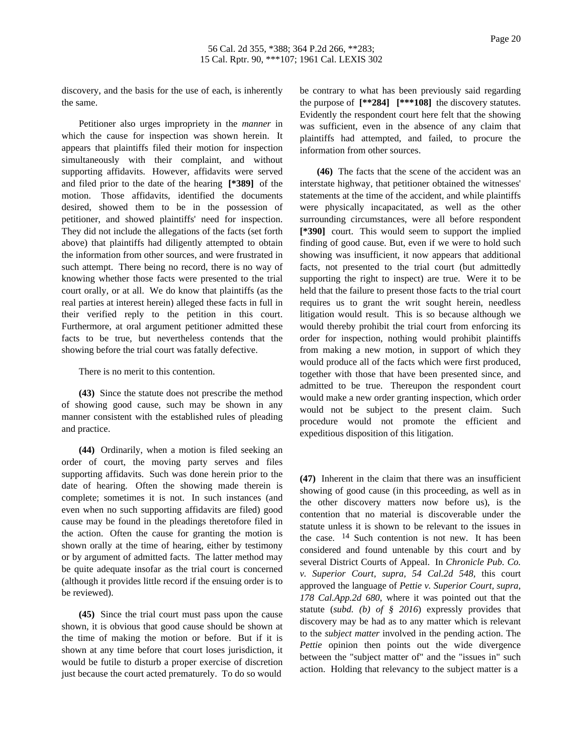discovery, and the basis for the use of each, is inherently the same.

Petitioner also urges impropriety in the *manner* in which the cause for inspection was shown herein. It appears that plaintiffs filed their motion for inspection simultaneously with their complaint, and without supporting affidavits. However, affidavits were served and filed prior to the date of the hearing **[\*389]** of the motion. Those affidavits, identified the documents desired, showed them to be in the possession of petitioner, and showed plaintiffs' need for inspection. They did not include the allegations of the facts (set forth above) that plaintiffs had diligently attempted to obtain the information from other sources, and were frustrated in such attempt. There being no record, there is no way of knowing whether those facts were presented to the trial court orally, or at all. We do know that plaintiffs (as the real parties at interest herein) alleged these facts in full in their verified reply to the petition in this court. Furthermore, at oral argument petitioner admitted these facts to be true, but nevertheless contends that the showing before the trial court was fatally defective.

There is no merit to this contention.

**(43)** Since the statute does not prescribe the method of showing good cause, such may be shown in any manner consistent with the established rules of pleading and practice.

**(44)** Ordinarily, when a motion is filed seeking an order of court, the moving party serves and files supporting affidavits. Such was done herein prior to the date of hearing. Often the showing made therein is complete; sometimes it is not. In such instances (and even when no such supporting affidavits are filed) good cause may be found in the pleadings theretofore filed in the action. Often the cause for granting the motion is shown orally at the time of hearing, either by testimony or by argument of admitted facts. The latter method may be quite adequate insofar as the trial court is concerned (although it provides little record if the ensuing order is to be reviewed).

**(45)** Since the trial court must pass upon the cause shown, it is obvious that good cause should be shown at the time of making the motion or before. But if it is shown at any time before that court loses jurisdiction, it would be futile to disturb a proper exercise of discretion just because the court acted prematurely. To do so would be contrary to what has been previously said regarding the purpose of **[\*\*284] [\*\*\*108]** the discovery statutes. Evidently the respondent court here felt that the showing was sufficient, even in the absence of any claim that plaintiffs had attempted, and failed, to procure the information from other sources.

**(46)** The facts that the scene of the accident was an interstate highway, that petitioner obtained the witnesses' statements at the time of the accident, and while plaintiffs were physically incapacitated, as well as the other surrounding circumstances, were all before respondent **[\*390]** court. This would seem to support the implied finding of good cause. But, even if we were to hold such showing was insufficient, it now appears that additional facts, not presented to the trial court (but admittedly supporting the right to inspect) are true. Were it to be held that the failure to present those facts to the trial court requires us to grant the writ sought herein, needless litigation would result. This is so because although we would thereby prohibit the trial court from enforcing its order for inspection, nothing would prohibit plaintiffs from making a new motion, in support of which they would produce all of the facts which were first produced, together with those that have been presented since, and admitted to be true. Thereupon the respondent court would make a new order granting inspection, which order would not be subject to the present claim. Such procedure would not promote the efficient and expeditious disposition of this litigation.

**(47)** Inherent in the claim that there was an insufficient showing of good cause (in this proceeding, as well as in the other discovery matters now before us), is the contention that no material is discoverable under the statute unless it is shown to be relevant to the issues in the case. 14 Such contention is not new. It has been considered and found untenable by this court and by several District Courts of Appeal. In *Chronicle Pub. Co. v. Superior Court, supra, 54 Cal.2d 548*, this court approved the language of *Pettie v. Superior Court, supra, 178 Cal.App.2d 680*, where it was pointed out that the statute (*subd. (b) of § 2016*) expressly provides that discovery may be had as to any matter which is relevant to the *subject matter* involved in the pending action. The *Pettie* opinion then points out the wide divergence between the "subject matter of" and the "issues in" such action. Holding that relevancy to the subject matter is a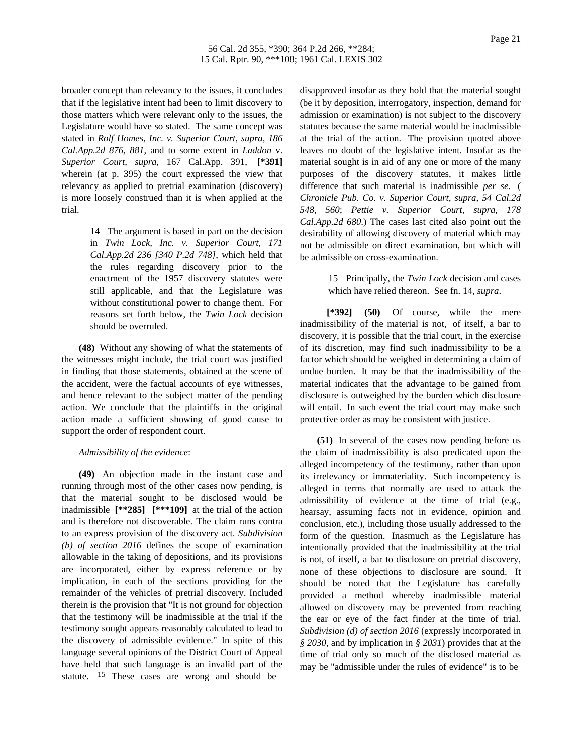broader concept than relevancy to the issues, it concludes that if the legislative intent had been to limit discovery to those matters which were relevant only to the issues, the Legislature would have so stated. The same concept was stated in *Rolf Homes, Inc. v. Superior Court, supra, 186 Cal.App.2d 876, 881*, and to some extent in *Laddon* v. *Superior Court, supra*, 167 Cal.App. 391, **[\*391]** wherein (at p. 395) the court expressed the view that relevancy as applied to pretrial examination (discovery) is more loosely construed than it is when applied at the trial.

> 14 The argument is based in part on the decision in *Twin Lock, Inc. v. Superior Court, 171 Cal.App.2d 236 [340 P.2d 748]*, which held that the rules regarding discovery prior to the enactment of the 1957 discovery statutes were still applicable, and that the Legislature was without constitutional power to change them. For reasons set forth below, the *Twin Lock* decision should be overruled.

**(48)** Without any showing of what the statements of the witnesses might include, the trial court was justified in finding that those statements, obtained at the scene of the accident, were the factual accounts of eye witnesses, and hence relevant to the subject matter of the pending action. We conclude that the plaintiffs in the original action made a sufficient showing of good cause to support the order of respondent court.

## *Admissibility of the evidence*:

**(49)** An objection made in the instant case and running through most of the other cases now pending, is that the material sought to be disclosed would be inadmissible **[\*\*285] [\*\*\*109]** at the trial of the action and is therefore not discoverable. The claim runs contra to an express provision of the discovery act. *Subdivision (b) of section 2016* defines the scope of examination allowable in the taking of depositions, and its provisions are incorporated, either by express reference or by implication, in each of the sections providing for the remainder of the vehicles of pretrial discovery. Included therein is the provision that "It is not ground for objection that the testimony will be inadmissible at the trial if the testimony sought appears reasonably calculated to lead to the discovery of admissible evidence." In spite of this language several opinions of the District Court of Appeal have held that such language is an invalid part of the statute.  $15$  These cases are wrong and should be

disapproved insofar as they hold that the material sought (be it by deposition, interrogatory, inspection, demand for admission or examination) is not subject to the discovery statutes because the same material would be inadmissible at the trial of the action. The provision quoted above leaves no doubt of the legislative intent. Insofar as the material sought is in aid of any one or more of the many purposes of the discovery statutes, it makes little difference that such material is inadmissible *per se*. ( *Chronicle Pub. Co. v. Superior Court, supra, 54 Cal.2d 548, 560*; *Pettie v. Superior Court, supra, 178 Cal.App.2d 680*.) The cases last cited also point out the desirability of allowing discovery of material which may not be admissible on direct examination, but which will be admissible on cross-examination.

> 15 Principally, the *Twin Lock* decision and cases which have relied thereon. See fn. 14, *supra*.

**[\*392] (50)** Of course, while the mere inadmissibility of the material is not, of itself, a bar to discovery, it is possible that the trial court, in the exercise of its discretion, may find such inadmissibility to be a factor which should be weighed in determining a claim of undue burden. It may be that the inadmissibility of the material indicates that the advantage to be gained from disclosure is outweighed by the burden which disclosure will entail. In such event the trial court may make such protective order as may be consistent with justice.

**(51)** In several of the cases now pending before us the claim of inadmissibility is also predicated upon the alleged incompetency of the testimony, rather than upon its irrelevancy or immateriality. Such incompetency is alleged in terms that normally are used to attack the admissibility of evidence at the time of trial (e.g., hearsay, assuming facts not in evidence, opinion and conclusion, etc.), including those usually addressed to the form of the question. Inasmuch as the Legislature has intentionally provided that the inadmissibility at the trial is not, of itself, a bar to disclosure on pretrial discovery, none of these objections to disclosure are sound. It should be noted that the Legislature has carefully provided a method whereby inadmissible material allowed on discovery may be prevented from reaching the ear or eye of the fact finder at the time of trial. *Subdivision (d) of section 2016* (expressly incorporated in *§ 2030*, and by implication in *§ 2031*) provides that at the time of trial only so much of the disclosed material as may be "admissible under the rules of evidence" is to be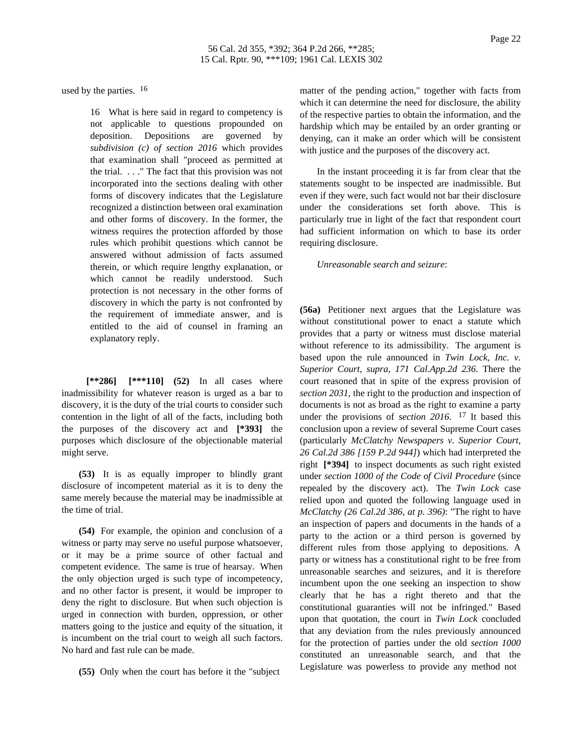used by the parties.  $16$ 

16 What is here said in regard to competency is not applicable to questions propounded on deposition. Depositions are governed by *subdivision (c) of section 2016* which provides that examination shall "proceed as permitted at the trial. . . ." The fact that this provision was not incorporated into the sections dealing with other forms of discovery indicates that the Legislature recognized a distinction between oral examination and other forms of discovery. In the former, the witness requires the protection afforded by those rules which prohibit questions which cannot be answered without admission of facts assumed therein, or which require lengthy explanation, or which cannot be readily understood. Such protection is not necessary in the other forms of discovery in which the party is not confronted by the requirement of immediate answer, and is entitled to the aid of counsel in framing an explanatory reply.

**[\*\*286] [\*\*\*110] (52)** In all cases where inadmissibility for whatever reason is urged as a bar to discovery, it is the duty of the trial courts to consider such contention in the light of all of the facts, including both the purposes of the discovery act and **[\*393]** the purposes which disclosure of the objectionable material might serve.

**(53)** It is as equally improper to blindly grant disclosure of incompetent material as it is to deny the same merely because the material may be inadmissible at the time of trial.

**(54)** For example, the opinion and conclusion of a witness or party may serve no useful purpose whatsoever, or it may be a prime source of other factual and competent evidence. The same is true of hearsay. When the only objection urged is such type of incompetency, and no other factor is present, it would be improper to deny the right to disclosure. But when such objection is urged in connection with burden, oppression, or other matters going to the justice and equity of the situation, it is incumbent on the trial court to weigh all such factors. No hard and fast rule can be made.

**(55)** Only when the court has before it the "subject

matter of the pending action," together with facts from which it can determine the need for disclosure, the ability of the respective parties to obtain the information, and the hardship which may be entailed by an order granting or denying, can it make an order which will be consistent with justice and the purposes of the discovery act.

In the instant proceeding it is far from clear that the statements sought to be inspected are inadmissible. But even if they were, such fact would not bar their disclosure under the considerations set forth above. This is particularly true in light of the fact that respondent court had sufficient information on which to base its order requiring disclosure.

*Unreasonable search and seizure*:

**(56a)** Petitioner next argues that the Legislature was without constitutional power to enact a statute which provides that a party or witness must disclose material without reference to its admissibility. The argument is based upon the rule announced in *Twin Lock, Inc. v. Superior Court, supra, 171 Cal.App.2d 236*. There the court reasoned that in spite of the express provision of *section 2031*, the right to the production and inspection of documents is not as broad as the right to examine a party under the provisions of *section 2016*. 17 It based this conclusion upon a review of several Supreme Court cases (particularly *McClatchy Newspapers v. Superior Court, 26 Cal.2d 386 [159 P.2d 944]*) which had interpreted the right **[\*394]** to inspect documents as such right existed under *section 1000 of the Code of Civil Procedure* (since repealed by the discovery act). The *Twin Lock* case relied upon and quoted the following language used in *McClatchy (26 Cal.2d 386, at p. 396)*: "The right to have an inspection of papers and documents in the hands of a party to the action or a third person is governed by different rules from those applying to depositions. A party or witness has a constitutional right to be free from unreasonable searches and seizures, and it is therefore incumbent upon the one seeking an inspection to show clearly that he has a right thereto and that the constitutional guaranties will not be infringed." Based upon that quotation, the court in *Twin Lock* concluded that any deviation from the rules previously announced for the protection of parties under the old *section 1000* constituted an unreasonable search, and that the Legislature was powerless to provide any method not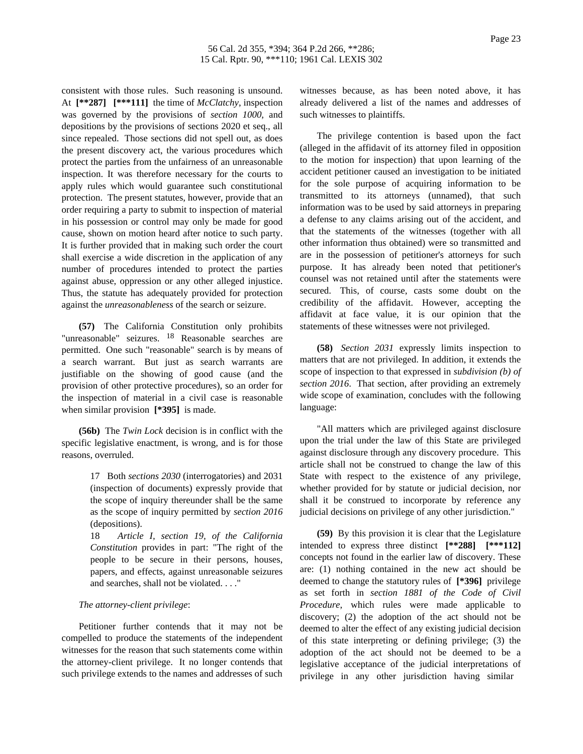consistent with those rules. Such reasoning is unsound. At **[\*\*287] [\*\*\*111]** the time of *McClatchy*, inspection was governed by the provisions of *section 1000*, and depositions by the provisions of sections 2020 et seq., all since repealed. Those sections did not spell out, as does the present discovery act, the various procedures which protect the parties from the unfairness of an unreasonable inspection. It was therefore necessary for the courts to apply rules which would guarantee such constitutional protection. The present statutes, however, provide that an order requiring a party to submit to inspection of material in his possession or control may only be made for good cause, shown on motion heard after notice to such party. It is further provided that in making such order the court shall exercise a wide discretion in the application of any number of procedures intended to protect the parties against abuse, oppression or any other alleged injustice. Thus, the statute has adequately provided for protection against the *unreasonableness* of the search or seizure.

**(57)** The California Constitution only prohibits "unreasonable" seizures. 18 Reasonable searches are permitted. One such "reasonable" search is by means of a search warrant. But just as search warrants are justifiable on the showing of good cause (and the provision of other protective procedures), so an order for the inspection of material in a civil case is reasonable when similar provision **[\*395]** is made.

**(56b)** The *Twin Lock* decision is in conflict with the specific legislative enactment, is wrong, and is for those reasons, overruled.

> 17 Both *sections 2030* (interrogatories) and 2031 (inspection of documents) expressly provide that the scope of inquiry thereunder shall be the same as the scope of inquiry permitted by *section 2016* (depositions).

> 18 *Article I, section 19, of the California Constitution* provides in part: "The right of the people to be secure in their persons, houses, papers, and effects, against unreasonable seizures and searches, shall not be violated. . . ."

#### *The attorney-client privilege*:

Petitioner further contends that it may not be compelled to produce the statements of the independent witnesses for the reason that such statements come within the attorney-client privilege. It no longer contends that such privilege extends to the names and addresses of such

witnesses because, as has been noted above, it has already delivered a list of the names and addresses of such witnesses to plaintiffs.

The privilege contention is based upon the fact (alleged in the affidavit of its attorney filed in opposition to the motion for inspection) that upon learning of the accident petitioner caused an investigation to be initiated for the sole purpose of acquiring information to be transmitted to its attorneys (unnamed), that such information was to be used by said attorneys in preparing a defense to any claims arising out of the accident, and that the statements of the witnesses (together with all other information thus obtained) were so transmitted and are in the possession of petitioner's attorneys for such purpose. It has already been noted that petitioner's counsel was not retained until after the statements were secured. This, of course, casts some doubt on the credibility of the affidavit. However, accepting the affidavit at face value, it is our opinion that the statements of these witnesses were not privileged.

**(58)** *Section 2031* expressly limits inspection to matters that are not privileged. In addition, it extends the scope of inspection to that expressed in *subdivision (b) of section 2016*. That section, after providing an extremely wide scope of examination, concludes with the following language:

"All matters which are privileged against disclosure upon the trial under the law of this State are privileged against disclosure through any discovery procedure. This article shall not be construed to change the law of this State with respect to the existence of any privilege, whether provided for by statute or judicial decision, nor shall it be construed to incorporate by reference any judicial decisions on privilege of any other jurisdiction."

**(59)** By this provision it is clear that the Legislature intended to express three distinct **[\*\*288] [\*\*\*112]** concepts not found in the earlier law of discovery. These are: (1) nothing contained in the new act should be deemed to change the statutory rules of **[\*396]** privilege as set forth in *section 1881 of the Code of Civil Procedure*, which rules were made applicable to discovery; (2) the adoption of the act should not be deemed to alter the effect of any existing judicial decision of this state interpreting or defining privilege; (3) the adoption of the act should not be deemed to be a legislative acceptance of the judicial interpretations of privilege in any other jurisdiction having similar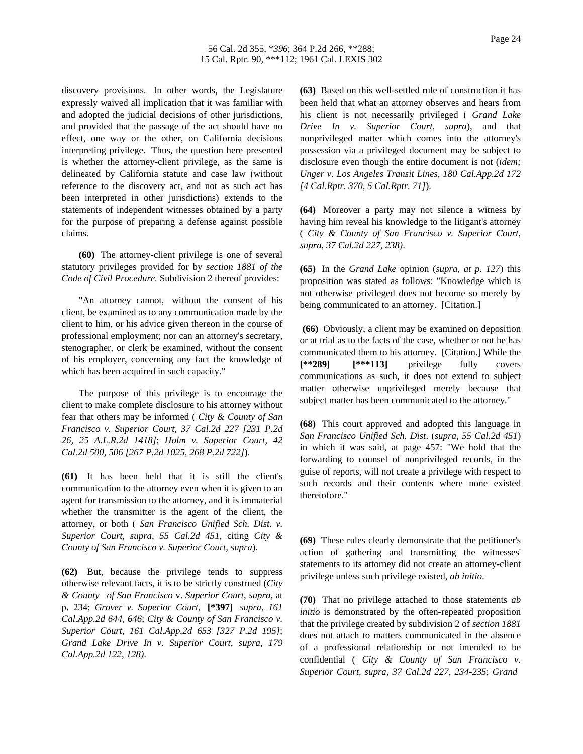discovery provisions. In other words, the Legislature expressly waived all implication that it was familiar with and adopted the judicial decisions of other jurisdictions, and provided that the passage of the act should have no effect, one way or the other, on California decisions interpreting privilege. Thus, the question here presented is whether the attorney-client privilege, as the same is delineated by California statute and case law (without reference to the discovery act, and not as such act has been interpreted in other jurisdictions) extends to the statements of independent witnesses obtained by a party for the purpose of preparing a defense against possible claims.

**(60)** The attorney-client privilege is one of several statutory privileges provided for by *section 1881 of the Code of Civil Procedure.* Subdivision 2 thereof provides:

"An attorney cannot, without the consent of his client, be examined as to any communication made by the client to him, or his advice given thereon in the course of professional employment; nor can an attorney's secretary, stenographer, or clerk be examined, without the consent of his employer, concerning any fact the knowledge of which has been acquired in such capacity."

The purpose of this privilege is to encourage the client to make complete disclosure to his attorney without fear that others may be informed ( *City & County of San Francisco v. Superior Court, 37 Cal.2d 227 [231 P.2d 26, 25 A.L.R.2d 1418]*; *Holm v. Superior Court, 42 Cal.2d 500, 506 [267 P.2d 1025, 268 P.2d 722]*).

**(61)** It has been held that it is still the client's communication to the attorney even when it is given to an agent for transmission to the attorney, and it is immaterial whether the transmitter is the agent of the client, the attorney, or both ( *San Francisco Unified Sch. Dist. v. Superior Court, supra, 55 Cal.2d 451*, citing *City & County of San Francisco v. Superior Court, supra*).

**(62)** But, because the privilege tends to suppress otherwise relevant facts, it is to be strictly construed (*City & County of San Francisco* v. *Superior Court, supra*, at p. 234; *Grover v. Superior Court,* **[\*397]** *supra, 161 Cal.App.2d 644, 646*; *City & County of San Francisco v. Superior Court, 161 Cal.App.2d 653 [327 P.2d 195]*; *Grand Lake Drive In v. Superior Court, supra, 179 Cal.App.2d 122, 128)*.

**(63)** Based on this well-settled rule of construction it has been held that what an attorney observes and hears from his client is not necessarily privileged ( *Grand Lake Drive In v. Superior Court, supra*), and that nonprivileged matter which comes into the attorney's possession via a privileged document may be subject to disclosure even though the entire document is not (*idem; Unger v. Los Angeles Transit Lines, 180 Cal.App.2d 172 [4 Cal.Rptr. 370, 5 Cal.Rptr. 71]*).

**(64)** Moreover a party may not silence a witness by having him reveal his knowledge to the litigant's attorney ( *City & County of San Francisco v. Superior Court, supra, 37 Cal.2d 227, 238)*.

**(65)** In the *Grand Lake* opinion (*supra, at p. 127*) this proposition was stated as follows: "Knowledge which is not otherwise privileged does not become so merely by being communicated to an attorney. [Citation.]

**(66)** Obviously, a client may be examined on deposition or at trial as to the facts of the case, whether or not he has communicated them to his attorney. [Citation.] While the **[\*\*289] [\*\*\*113]** privilege fully covers communications as such, it does not extend to subject matter otherwise unprivileged merely because that subject matter has been communicated to the attorney."

**(68)** This court approved and adopted this language in *San Francisco Unified Sch. Dist*. (*supra*, *55 Cal.2d 451*) in which it was said, at page 457: "We hold that the forwarding to counsel of nonprivileged records, in the guise of reports, will not create a privilege with respect to such records and their contents where none existed theretofore."

**(69)** These rules clearly demonstrate that the petitioner's action of gathering and transmitting the witnesses' statements to its attorney did not create an attorney-client privilege unless such privilege existed, *ab initio*.

**(70)** That no privilege attached to those statements *ab initio* is demonstrated by the often-repeated proposition that the privilege created by subdivision 2 of *section 1881* does not attach to matters communicated in the absence of a professional relationship or not intended to be confidential ( *City & County of San Francisco v. Superior Court, supra, 37 Cal.2d 227, 234-235*; *Grand*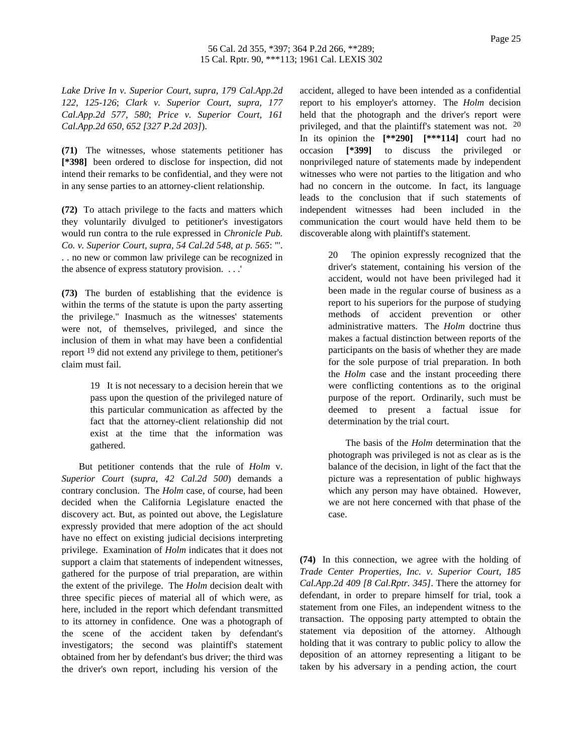*Lake Drive In v. Superior Court, supra, 179 Cal.App.2d 122, 125-126*; *Clark v. Superior Court, supra, 177 Cal.App.2d 577, 580*; *Price v. Superior Court, 161 Cal.App.2d 650, 652 [327 P.2d 203]*).

**(71)** The witnesses, whose statements petitioner has **[\*398]** been ordered to disclose for inspection, did not intend their remarks to be confidential, and they were not in any sense parties to an attorney-client relationship.

**(72)** To attach privilege to the facts and matters which they voluntarily divulged to petitioner's investigators would run contra to the rule expressed in *Chronicle Pub. Co. v. Superior Court, supra, 54 Cal.2d 548, at p. 565*: "'. . . no new or common law privilege can be recognized in the absence of express statutory provision. . . .'

**(73)** The burden of establishing that the evidence is within the terms of the statute is upon the party asserting the privilege." Inasmuch as the witnesses' statements were not, of themselves, privileged, and since the inclusion of them in what may have been a confidential report 19 did not extend any privilege to them, petitioner's claim must fail.

> 19 It is not necessary to a decision herein that we pass upon the question of the privileged nature of this particular communication as affected by the fact that the attorney-client relationship did not exist at the time that the information was gathered.

But petitioner contends that the rule of *Holm* v. *Superior Court* (*supra*, *42 Cal.2d 500*) demands a contrary conclusion. The *Holm* case, of course, had been decided when the California Legislature enacted the discovery act. But, as pointed out above, the Legislature expressly provided that mere adoption of the act should have no effect on existing judicial decisions interpreting privilege. Examination of *Holm* indicates that it does not support a claim that statements of independent witnesses, gathered for the purpose of trial preparation, are within the extent of the privilege. The *Holm* decision dealt with three specific pieces of material all of which were, as here, included in the report which defendant transmitted to its attorney in confidence. One was a photograph of the scene of the accident taken by defendant's investigators; the second was plaintiff's statement obtained from her by defendant's bus driver; the third was the driver's own report, including his version of the

accident, alleged to have been intended as a confidential report to his employer's attorney. The *Holm* decision held that the photograph and the driver's report were privileged, and that the plaintiff's statement was not. 20 In its opinion the **[\*\*290] [\*\*\*114]** court had no occasion **[\*399]** to discuss the privileged or nonprivileged nature of statements made by independent witnesses who were not parties to the litigation and who had no concern in the outcome. In fact, its language leads to the conclusion that if such statements of independent witnesses had been included in the communication the court would have held them to be discoverable along with plaintiff's statement.

> 20 The opinion expressly recognized that the driver's statement, containing his version of the accident, would not have been privileged had it been made in the regular course of business as a report to his superiors for the purpose of studying methods of accident prevention or other administrative matters. The *Holm* doctrine thus makes a factual distinction between reports of the participants on the basis of whether they are made for the sole purpose of trial preparation. In both the *Holm* case and the instant proceeding there were conflicting contentions as to the original purpose of the report. Ordinarily, such must be deemed to present a factual issue for determination by the trial court.

> The basis of the *Holm* determination that the photograph was privileged is not as clear as is the balance of the decision, in light of the fact that the picture was a representation of public highways which any person may have obtained. However, we are not here concerned with that phase of the case.

**(74)** In this connection, we agree with the holding of *Trade Center Properties, Inc. v. Superior Court, 185 Cal.App.2d 409 [8 Cal.Rptr. 345]*. There the attorney for defendant, in order to prepare himself for trial, took a statement from one Files, an independent witness to the transaction. The opposing party attempted to obtain the statement via deposition of the attorney. Although holding that it was contrary to public policy to allow the deposition of an attorney representing a litigant to be taken by his adversary in a pending action, the court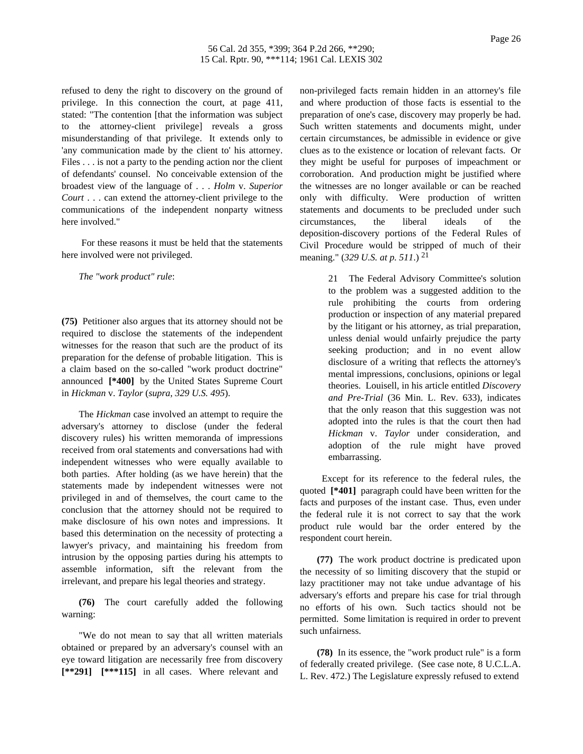refused to deny the right to discovery on the ground of privilege. In this connection the court, at page 411, stated: "The contention [that the information was subject to the attorney-client privilege] reveals a gross misunderstanding of that privilege. It extends only to 'any communication made by the client to' his attorney. Files . . . is not a party to the pending action nor the client of defendants' counsel. No conceivable extension of the broadest view of the language of . . . *Holm* v. *Superior Court* . . . can extend the attorney-client privilege to the communications of the independent nonparty witness here involved."

For these reasons it must be held that the statements here involved were not privileged.

*The "work product" rule*:

**(75)** Petitioner also argues that its attorney should not be required to disclose the statements of the independent witnesses for the reason that such are the product of its preparation for the defense of probable litigation. This is a claim based on the so-called "work product doctrine" announced **[\*400]** by the United States Supreme Court in *Hickman* v. *Taylor* (*supra*, *329 U.S. 495*).

The *Hickman* case involved an attempt to require the adversary's attorney to disclose (under the federal discovery rules) his written memoranda of impressions received from oral statements and conversations had with independent witnesses who were equally available to both parties. After holding (as we have herein) that the statements made by independent witnesses were not privileged in and of themselves, the court came to the conclusion that the attorney should not be required to make disclosure of his own notes and impressions. It based this determination on the necessity of protecting a lawyer's privacy, and maintaining his freedom from intrusion by the opposing parties during his attempts to assemble information, sift the relevant from the irrelevant, and prepare his legal theories and strategy.

**(76)** The court carefully added the following warning:

"We do not mean to say that all written materials obtained or prepared by an adversary's counsel with an eye toward litigation are necessarily free from discovery **[\*\*291] [\*\*\*115]** in all cases. Where relevant and

non-privileged facts remain hidden in an attorney's file and where production of those facts is essential to the preparation of one's case, discovery may properly be had. Such written statements and documents might, under certain circumstances, be admissible in evidence or give clues as to the existence or location of relevant facts. Or they might be useful for purposes of impeachment or corroboration. And production might be justified where the witnesses are no longer available or can be reached only with difficulty. Were production of written statements and documents to be precluded under such circumstances, the liberal ideals of the deposition-discovery portions of the Federal Rules of Civil Procedure would be stripped of much of their meaning." (*329 U.S. at p. 511*.) 21

> 21 The Federal Advisory Committee's solution to the problem was a suggested addition to the rule prohibiting the courts from ordering production or inspection of any material prepared by the litigant or his attorney, as trial preparation, unless denial would unfairly prejudice the party seeking production; and in no event allow disclosure of a writing that reflects the attorney's mental impressions, conclusions, opinions or legal theories. Louisell, in his article entitled *Discovery and Pre-Trial* (36 Min. L. Rev. 633), indicates that the only reason that this suggestion was not adopted into the rules is that the court then had *Hickman* v. *Taylor* under consideration, and adoption of the rule might have proved embarrassing.

Except for its reference to the federal rules, the quoted **[\*401]** paragraph could have been written for the facts and purposes of the instant case. Thus, even under the federal rule it is not correct to say that the work product rule would bar the order entered by the respondent court herein.

**(77)** The work product doctrine is predicated upon the necessity of so limiting discovery that the stupid or lazy practitioner may not take undue advantage of his adversary's efforts and prepare his case for trial through no efforts of his own. Such tactics should not be permitted. Some limitation is required in order to prevent such unfairness.

**(78)** In its essence, the "work product rule" is a form of federally created privilege. (See case note, 8 U.C.L.A. L. Rev. 472.) The Legislature expressly refused to extend